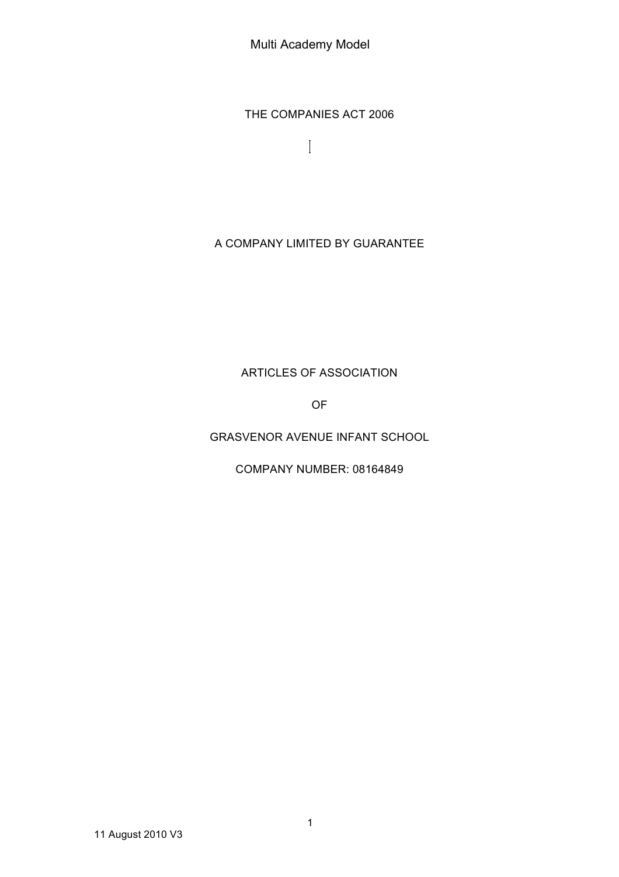Multi Academy Model

THE COMPANIES ACT 2006

 $\begin{array}{c} \hline \end{array}$ 

# A COMPANY LIMITED BY GUARANTEE

# ARTICLES OF ASSOCIATION

OF

GRASVENOR AVENUE INFANT SCHOOL

COMPANY NUMBER: 08164849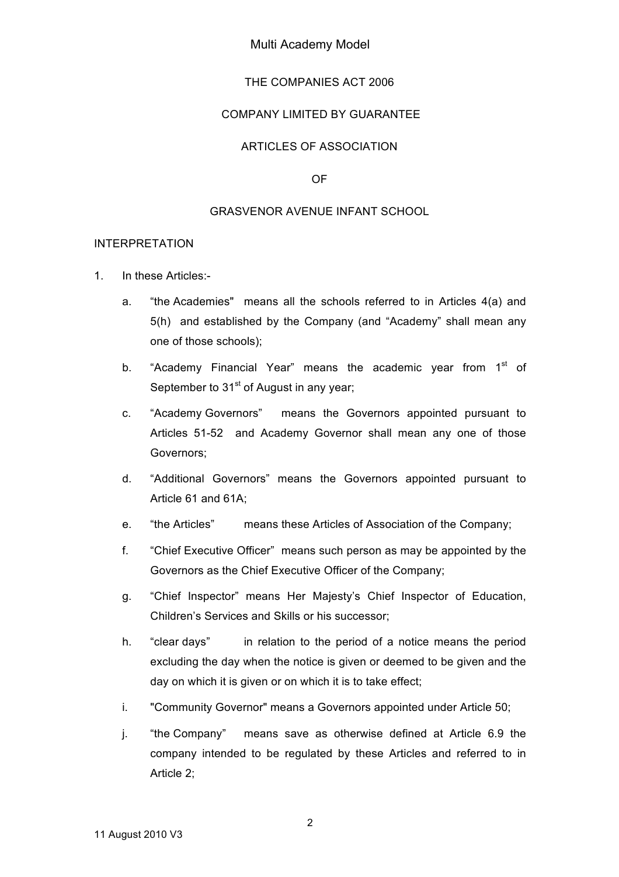### Multi Academy Model

#### THE COMPANIES ACT 2006

#### COMPANY LIMITED BY GUARANTEE

### ARTICLES OF ASSOCIATION

#### OF

#### GRASVENOR AVENUE INFANT SCHOOL

#### INTERPRETATION

- 1. In these Articles:
	- a. "the Academies" means all the schools referred to in Articles 4(a) and 5(h) and established by the Company (and "Academy" shall mean any one of those schools);
	- b. "Academy Financial Year" means the academic year from  $1<sup>st</sup>$  of September to  $31<sup>st</sup>$  of August in any year;
	- c. "Academy Governors" means the Governors appointed pursuant to Articles 51-52 and Academy Governor shall mean any one of those Governors;
	- d. "Additional Governors" means the Governors appointed pursuant to Article 61 and 61A;
	- e. "the Articles" means these Articles of Association of the Company;
	- f. "Chief Executive Officer" means such person as may be appointed by the Governors as the Chief Executive Officer of the Company;
	- g. "Chief Inspector" means Her Majesty's Chief Inspector of Education, Children's Services and Skills or his successor;
	- h. "clear days" in relation to the period of a notice means the period excluding the day when the notice is given or deemed to be given and the day on which it is given or on which it is to take effect;
	- i. "Community Governor" means a Governors appointed under Article 50;
	- j. "the Company" means save as otherwise defined at Article 6.9 the company intended to be regulated by these Articles and referred to in Article 2;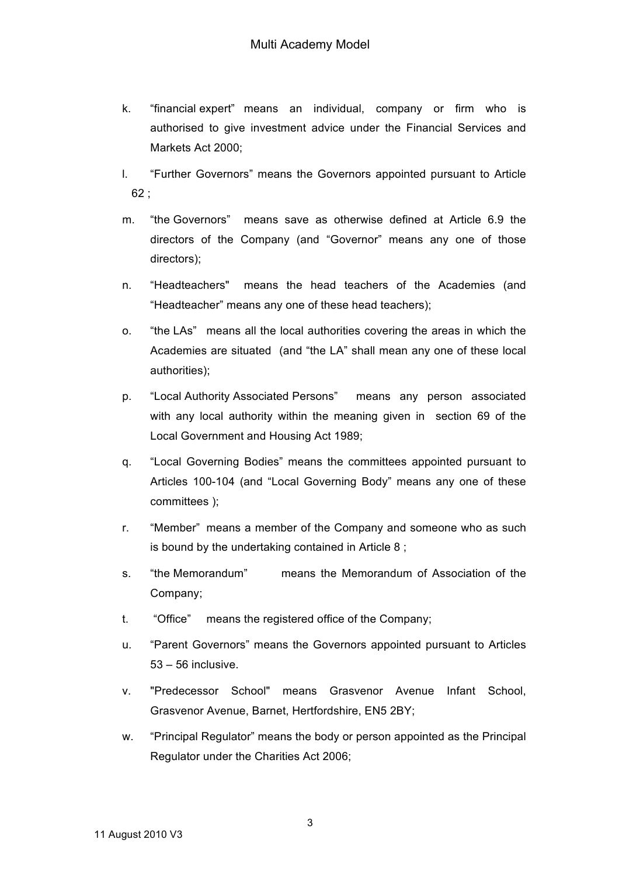- k. "financial expert" means an individual, company or firm who is authorised to give investment advice under the Financial Services and Markets Act 2000;
- l. "Further Governors" means the Governors appointed pursuant to Article 62 ;
- m. "the Governors" means save as otherwise defined at Article 6.9 the directors of the Company (and "Governor" means any one of those directors);
- n. "Headteachers" means the head teachers of the Academies (and "Headteacher" means any one of these head teachers);
- o. "the LAs" means all the local authorities covering the areas in which the Academies are situated (and "the LA" shall mean any one of these local authorities);
- p. "Local Authority Associated Persons" means any person associated with any local authority within the meaning given in section 69 of the Local Government and Housing Act 1989;
- q. "Local Governing Bodies" means the committees appointed pursuant to Articles 100-104 (and "Local Governing Body" means any one of these committees );
- r. "Member" means a member of the Company and someone who as such is bound by the undertaking contained in Article 8 ;
- s. "the Memorandum" means the Memorandum of Association of the Company;
- t. "Office" means the registered office of the Company;
- u. "Parent Governors" means the Governors appointed pursuant to Articles  $53 - 56$  inclusive.
- v. "Predecessor School" means Grasvenor Avenue Infant School, Grasvenor Avenue, Barnet, Hertfordshire, EN5 2BY;
- w. "Principal Regulator" means the body or person appointed as the Principal Regulator under the Charities Act 2006;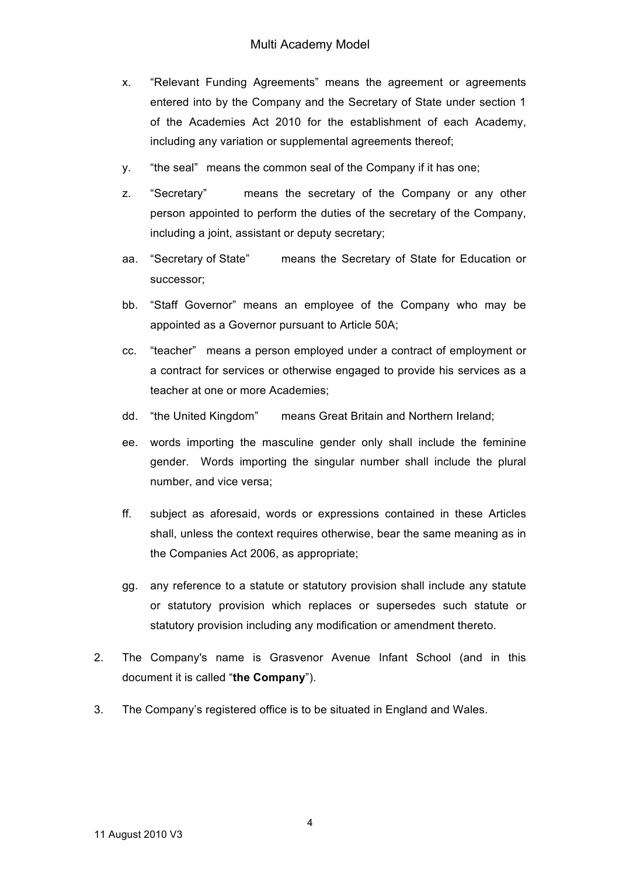- x. "Relevant Funding Agreements" means the agreement or agreements entered into by the Company and the Secretary of State under section 1 of the Academies Act 2010 for the establishment of each Academy, including any variation or supplemental agreements thereof;
- y. "the seal" means the common seal of the Company if it has one;
- z. "Secretary" means the secretary of the Company or any other person appointed to perform the duties of the secretary of the Company, including a joint, assistant or deputy secretary;
- aa. "Secretary of State" means the Secretary of State for Education or successor;
- bb. "Staff Governor" means an employee of the Company who may be appointed as a Governor pursuant to Article 50A;
- cc. "teacher" means a person employed under a contract of employment or a contract for services or otherwise engaged to provide his services as a teacher at one or more Academies;
- dd. "the United Kingdom" means Great Britain and Northern Ireland;
- ee. words importing the masculine gender only shall include the feminine gender. Words importing the singular number shall include the plural number, and vice versa;
- ff. subject as aforesaid, words or expressions contained in these Articles shall, unless the context requires otherwise, bear the same meaning as in the Companies Act 2006, as appropriate;
- gg. any reference to a statute or statutory provision shall include any statute or statutory provision which replaces or supersedes such statute or statutory provision including any modification or amendment thereto.
- 2. The Company's name is Grasvenor Avenue Infant School (and in this document it is called "**the Company**").
- 3. The Company's registered office is to be situated in England and Wales.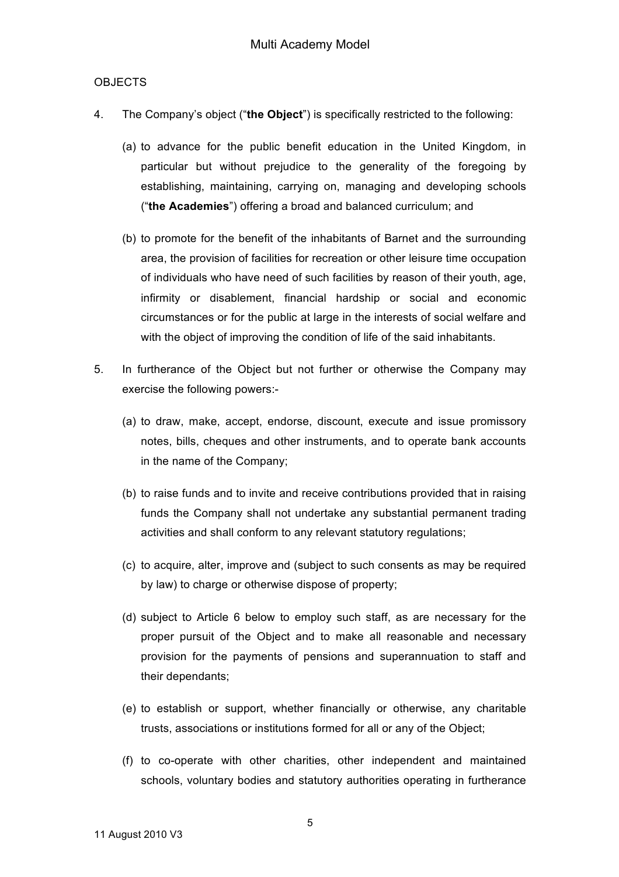### **OBJECTS**

- 4. The Company's object ("**the Object**") is specifically restricted to the following:
	- (a) to advance for the public benefit education in the United Kingdom, in particular but without prejudice to the generality of the foregoing by establishing, maintaining, carrying on, managing and developing schools ("**the Academies**") offering a broad and balanced curriculum; and
	- (b) to promote for the benefit of the inhabitants of Barnet and the surrounding area, the provision of facilities for recreation or other leisure time occupation of individuals who have need of such facilities by reason of their youth, age, infirmity or disablement, financial hardship or social and economic circumstances or for the public at large in the interests of social welfare and with the object of improving the condition of life of the said inhabitants.
- 5. In furtherance of the Object but not further or otherwise the Company may exercise the following powers:-
	- (a) to draw, make, accept, endorse, discount, execute and issue promissory notes, bills, cheques and other instruments, and to operate bank accounts in the name of the Company;
	- (b) to raise funds and to invite and receive contributions provided that in raising funds the Company shall not undertake any substantial permanent trading activities and shall conform to any relevant statutory regulations;
	- (c) to acquire, alter, improve and (subject to such consents as may be required by law) to charge or otherwise dispose of property;
	- (d) subject to Article 6 below to employ such staff, as are necessary for the proper pursuit of the Object and to make all reasonable and necessary provision for the payments of pensions and superannuation to staff and their dependants;
	- (e) to establish or support, whether financially or otherwise, any charitable trusts, associations or institutions formed for all or any of the Object;
	- (f) to co-operate with other charities, other independent and maintained schools, voluntary bodies and statutory authorities operating in furtherance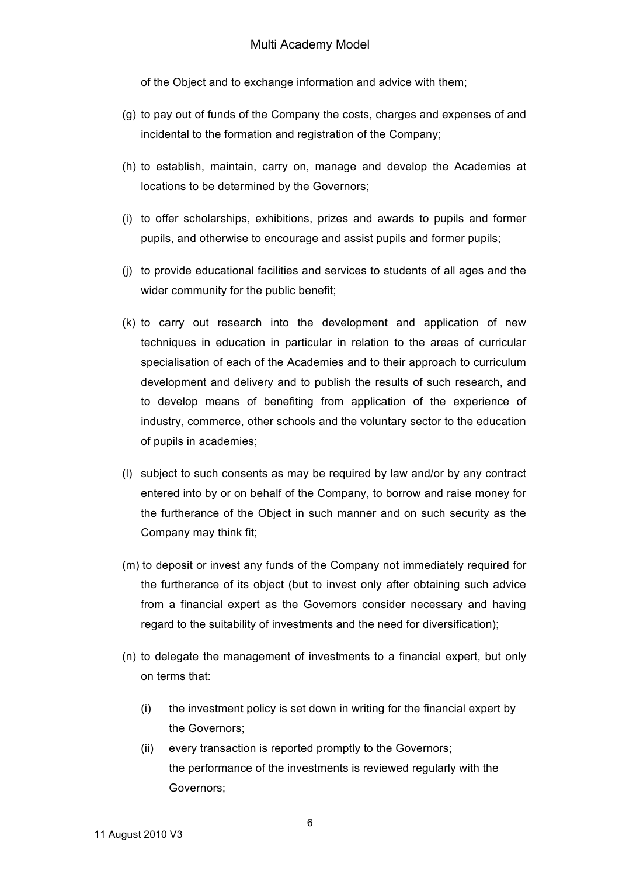of the Object and to exchange information and advice with them;

- (g) to pay out of funds of the Company the costs, charges and expenses of and incidental to the formation and registration of the Company;
- (h) to establish, maintain, carry on, manage and develop the Academies at locations to be determined by the Governors;
- (i) to offer scholarships, exhibitions, prizes and awards to pupils and former pupils, and otherwise to encourage and assist pupils and former pupils;
- (j) to provide educational facilities and services to students of all ages and the wider community for the public benefit;
- (k) to carry out research into the development and application of new techniques in education in particular in relation to the areas of curricular specialisation of each of the Academies and to their approach to curriculum development and delivery and to publish the results of such research, and to develop means of benefiting from application of the experience of industry, commerce, other schools and the voluntary sector to the education of pupils in academies;
- (l) subject to such consents as may be required by law and/or by any contract entered into by or on behalf of the Company, to borrow and raise money for the furtherance of the Object in such manner and on such security as the Company may think fit;
- (m) to deposit or invest any funds of the Company not immediately required for the furtherance of its object (but to invest only after obtaining such advice from a financial expert as the Governors consider necessary and having regard to the suitability of investments and the need for diversification);
- (n) to delegate the management of investments to a financial expert, but only on terms that:
	- (i) the investment policy is set down in writing for the financial expert by the Governors;
	- (ii) every transaction is reported promptly to the Governors; the performance of the investments is reviewed regularly with the Governors;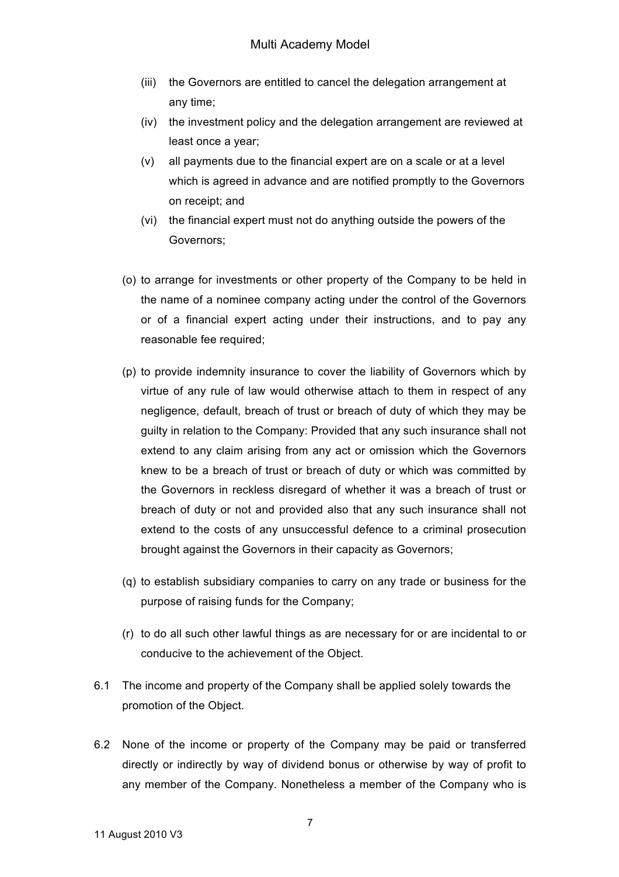- (iii) the Governors are entitled to cancel the delegation arrangement at any time;
- (iv) the investment policy and the delegation arrangement are reviewed at least once a year;
- (v) all payments due to the financial expert are on a scale or at a level which is agreed in advance and are notified promptly to the Governors on receipt; and
- (vi) the financial expert must not do anything outside the powers of the Governors;
- (o) to arrange for investments or other property of the Company to be held in the name of a nominee company acting under the control of the Governors or of a financial expert acting under their instructions, and to pay any reasonable fee required;
- (p) to provide indemnity insurance to cover the liability of Governors which by virtue of any rule of law would otherwise attach to them in respect of any negligence, default, breach of trust or breach of duty of which they may be guilty in relation to the Company: Provided that any such insurance shall not extend to any claim arising from any act or omission which the Governors knew to be a breach of trust or breach of duty or which was committed by the Governors in reckless disregard of whether it was a breach of trust or breach of duty or not and provided also that any such insurance shall not extend to the costs of any unsuccessful defence to a criminal prosecution brought against the Governors in their capacity as Governors;
- (q) to establish subsidiary companies to carry on any trade or business for the purpose of raising funds for the Company;
- (r) to do all such other lawful things as are necessary for or are incidental to or conducive to the achievement of the Object.
- 6.1 The income and property of the Company shall be applied solely towards the promotion of the Object.
- 6.2 None of the income or property of the Company may be paid or transferred directly or indirectly by way of dividend bonus or otherwise by way of profit to any member of the Company. Nonetheless a member of the Company who is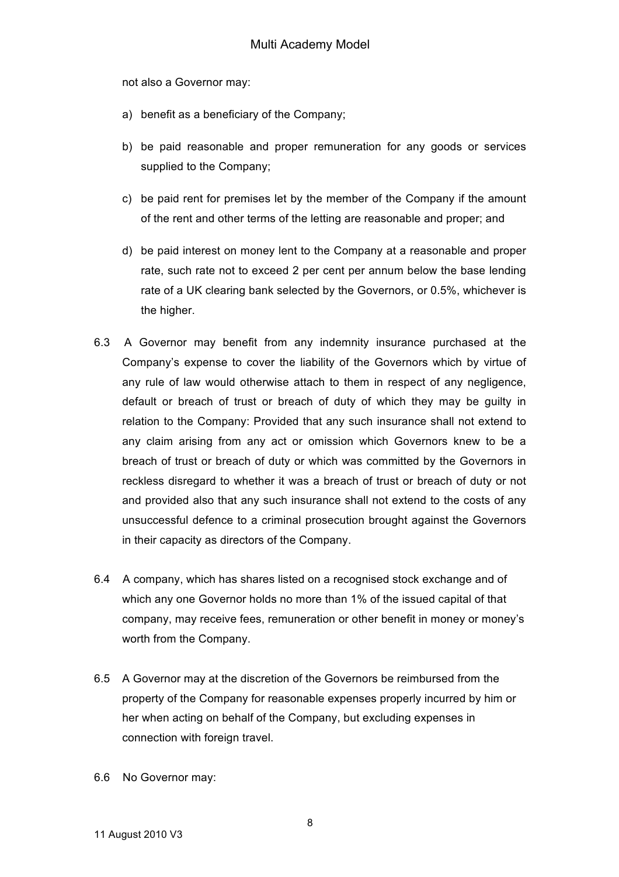not also a Governor may:

- a) benefit as a beneficiary of the Company;
- b) be paid reasonable and proper remuneration for any goods or services supplied to the Company;
- c) be paid rent for premises let by the member of the Company if the amount of the rent and other terms of the letting are reasonable and proper; and
- d) be paid interest on money lent to the Company at a reasonable and proper rate, such rate not to exceed 2 per cent per annum below the base lending rate of a UK clearing bank selected by the Governors, or 0.5%, whichever is the higher.
- 6.3 A Governor may benefit from any indemnity insurance purchased at the Company's expense to cover the liability of the Governors which by virtue of any rule of law would otherwise attach to them in respect of any negligence, default or breach of trust or breach of duty of which they may be guilty in relation to the Company: Provided that any such insurance shall not extend to any claim arising from any act or omission which Governors knew to be a breach of trust or breach of duty or which was committed by the Governors in reckless disregard to whether it was a breach of trust or breach of duty or not and provided also that any such insurance shall not extend to the costs of any unsuccessful defence to a criminal prosecution brought against the Governors in their capacity as directors of the Company.
- 6.4 A company, which has shares listed on a recognised stock exchange and of which any one Governor holds no more than 1% of the issued capital of that company, may receive fees, remuneration or other benefit in money or money's worth from the Company.
- 6.5 A Governor may at the discretion of the Governors be reimbursed from the property of the Company for reasonable expenses properly incurred by him or her when acting on behalf of the Company, but excluding expenses in connection with foreign travel.
- 6.6 No Governor may: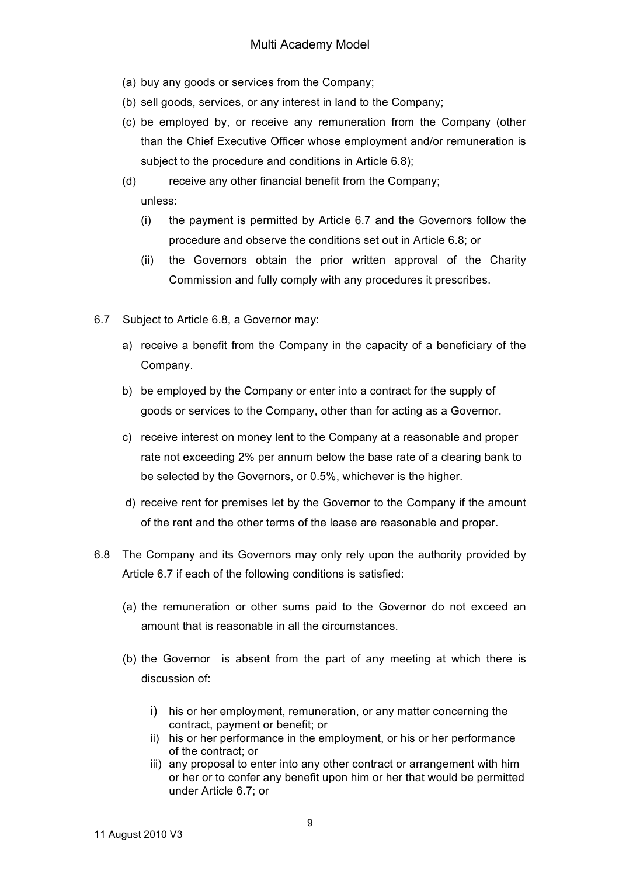- (a) buy any goods or services from the Company;
- (b) sell goods, services, or any interest in land to the Company;
- (c) be employed by, or receive any remuneration from the Company (other than the Chief Executive Officer whose employment and/or remuneration is subject to the procedure and conditions in Article 6.8);
- (d) receive any other financial benefit from the Company; unless:
	- (i) the payment is permitted by Article 6.7 and the Governors follow the procedure and observe the conditions set out in Article 6.8; or
	- (ii) the Governors obtain the prior written approval of the Charity Commission and fully comply with any procedures it prescribes.
- 6.7 Subject to Article 6.8, a Governor may:
	- a) receive a benefit from the Company in the capacity of a beneficiary of the Company.
	- b) be employed by the Company or enter into a contract for the supply of goods or services to the Company, other than for acting as a Governor.
	- c) receive interest on money lent to the Company at a reasonable and proper rate not exceeding 2% per annum below the base rate of a clearing bank to be selected by the Governors, or 0.5%, whichever is the higher.
	- d) receive rent for premises let by the Governor to the Company if the amount of the rent and the other terms of the lease are reasonable and proper.
- 6.8 The Company and its Governors may only rely upon the authority provided by Article 6.7 if each of the following conditions is satisfied:
	- (a) the remuneration or other sums paid to the Governor do not exceed an amount that is reasonable in all the circumstances.
	- (b) the Governor is absent from the part of any meeting at which there is discussion of:
		- i) his or her employment, remuneration, or any matter concerning the contract, payment or benefit; or
		- ii) his or her performance in the employment, or his or her performance of the contract; or
		- iii) any proposal to enter into any other contract or arrangement with him or her or to confer any benefit upon him or her that would be permitted under Article 6.7; or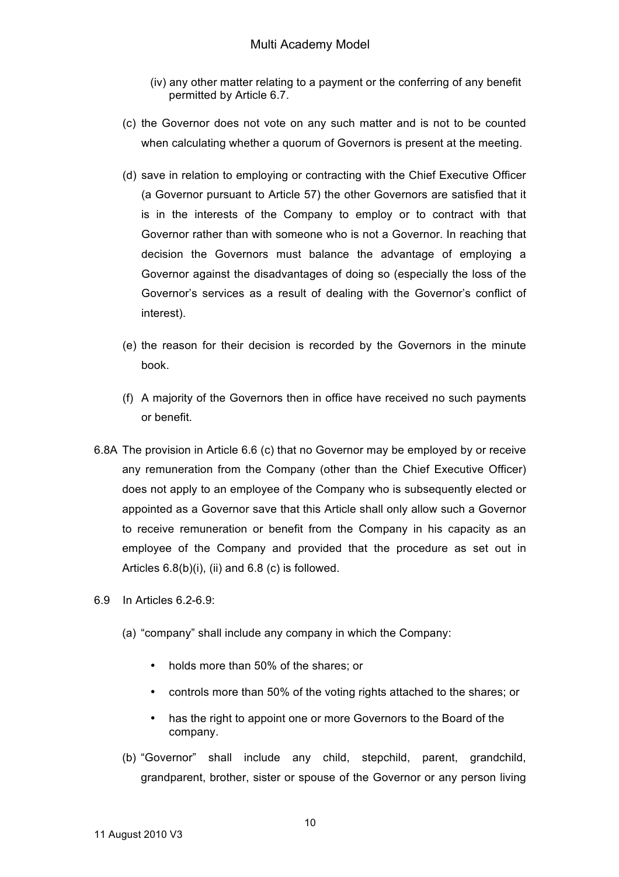- (iv) any other matter relating to a payment or the conferring of any benefit permitted by Article 6.7.
- (c) the Governor does not vote on any such matter and is not to be counted when calculating whether a quorum of Governors is present at the meeting.
- (d) save in relation to employing or contracting with the Chief Executive Officer (a Governor pursuant to Article 57) the other Governors are satisfied that it is in the interests of the Company to employ or to contract with that Governor rather than with someone who is not a Governor. In reaching that decision the Governors must balance the advantage of employing a Governor against the disadvantages of doing so (especially the loss of the Governor's services as a result of dealing with the Governor's conflict of interest).
- (e) the reason for their decision is recorded by the Governors in the minute book.
- (f) A majority of the Governors then in office have received no such payments or benefit.
- 6.8A The provision in Article 6.6 (c) that no Governor may be employed by or receive any remuneration from the Company (other than the Chief Executive Officer) does not apply to an employee of the Company who is subsequently elected or appointed as a Governor save that this Article shall only allow such a Governor to receive remuneration or benefit from the Company in his capacity as an employee of the Company and provided that the procedure as set out in Articles 6.8(b)(i), (ii) and 6.8 (c) is followed.
- $6.9$  In Articles  $6.2-6.9$ 
	- (a) "company" shall include any company in which the Company:
		- holds more than 50% of the shares; or
		- controls more than 50% of the voting rights attached to the shares; or
		- has the right to appoint one or more Governors to the Board of the company.
	- (b) "Governor" shall include any child, stepchild, parent, grandchild, grandparent, brother, sister or spouse of the Governor or any person living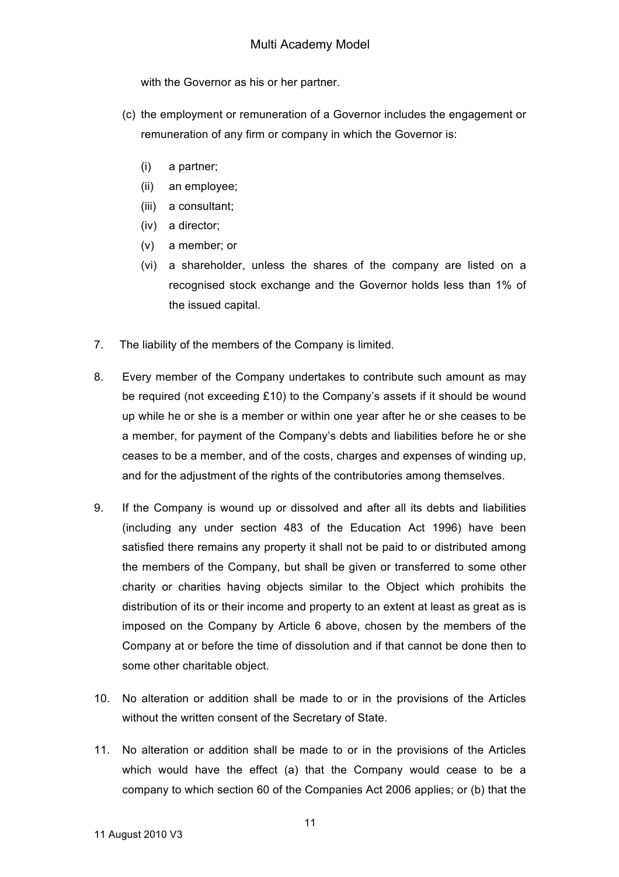with the Governor as his or her partner.

- (c) the employment or remuneration of a Governor includes the engagement or remuneration of any firm or company in which the Governor is:
	- (i) a partner;
	- (ii) an employee;
	- (iii) a consultant;
	- (iv) a director;
	- (v) a member; or
	- (vi) a shareholder, unless the shares of the company are listed on a recognised stock exchange and the Governor holds less than 1% of the issued capital.
- 7. The liability of the members of the Company is limited.
- 8. Every member of the Company undertakes to contribute such amount as may be required (not exceeding £10) to the Company's assets if it should be wound up while he or she is a member or within one year after he or she ceases to be a member, for payment of the Company's debts and liabilities before he or she ceases to be a member, and of the costs, charges and expenses of winding up, and for the adjustment of the rights of the contributories among themselves.
- 9. If the Company is wound up or dissolved and after all its debts and liabilities (including any under section 483 of the Education Act 1996) have been satisfied there remains any property it shall not be paid to or distributed among the members of the Company, but shall be given or transferred to some other charity or charities having objects similar to the Object which prohibits the distribution of its or their income and property to an extent at least as great as is imposed on the Company by Article 6 above, chosen by the members of the Company at or before the time of dissolution and if that cannot be done then to some other charitable object.
- 10. No alteration or addition shall be made to or in the provisions of the Articles without the written consent of the Secretary of State.
- 11. No alteration or addition shall be made to or in the provisions of the Articles which would have the effect (a) that the Company would cease to be a company to which section 60 of the Companies Act 2006 applies; or (b) that the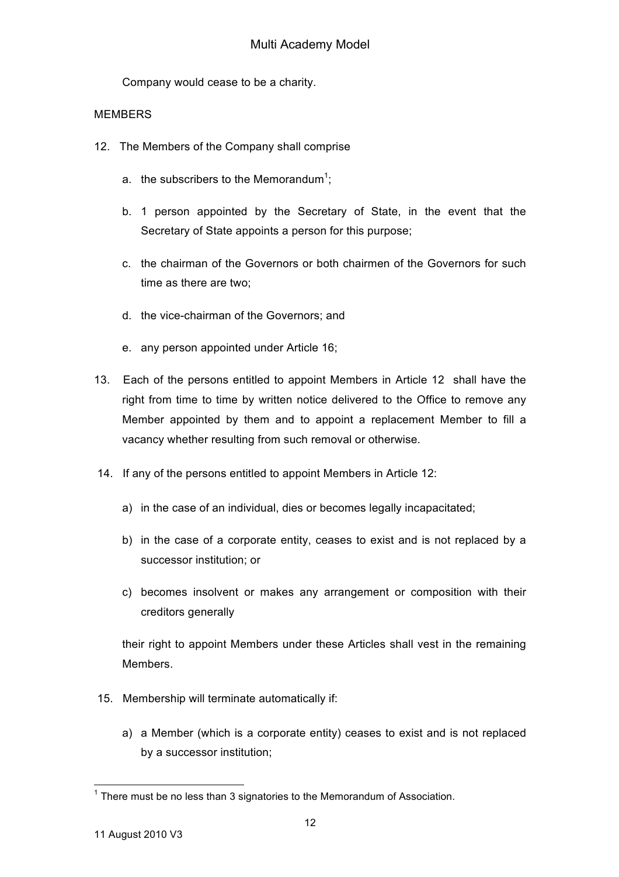Company would cease to be a charity.

### **MEMBERS**

- 12. The Members of the Company shall comprise
	- a. the subscribers to the Memorandum<sup>1</sup>;
	- b. 1 person appointed by the Secretary of State, in the event that the Secretary of State appoints a person for this purpose;
	- c. the chairman of the Governors or both chairmen of the Governors for such time as there are two;
	- d. the vice-chairman of the Governors; and
	- e. any person appointed under Article 16;
- 13. Each of the persons entitled to appoint Members in Article 12 shall have the right from time to time by written notice delivered to the Office to remove any Member appointed by them and to appoint a replacement Member to fill a vacancy whether resulting from such removal or otherwise.
- 14. If any of the persons entitled to appoint Members in Article 12:
	- a) in the case of an individual, dies or becomes legally incapacitated;
	- b) in the case of a corporate entity, ceases to exist and is not replaced by a successor institution; or
	- c) becomes insolvent or makes any arrangement or composition with their creditors generally

their right to appoint Members under these Articles shall vest in the remaining Members.

- 15. Membership will terminate automatically if:
	- a) a Member (which is a corporate entity) ceases to exist and is not replaced by a successor institution;

 $1$  There must be no less than 3 signatories to the Memorandum of Association.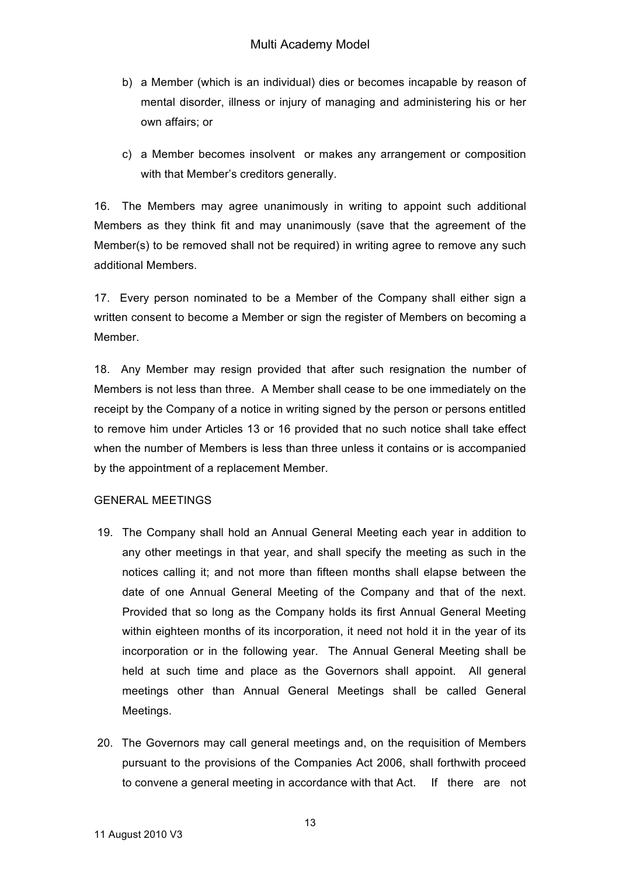- b) a Member (which is an individual) dies or becomes incapable by reason of mental disorder, illness or injury of managing and administering his or her own affairs; or
- c) a Member becomes insolvent or makes any arrangement or composition with that Member's creditors generally.

16. The Members may agree unanimously in writing to appoint such additional Members as they think fit and may unanimously (save that the agreement of the Member(s) to be removed shall not be required) in writing agree to remove any such additional Members.

17. Every person nominated to be a Member of the Company shall either sign a written consent to become a Member or sign the register of Members on becoming a Member.

18. Any Member may resign provided that after such resignation the number of Members is not less than three. A Member shall cease to be one immediately on the receipt by the Company of a notice in writing signed by the person or persons entitled to remove him under Articles 13 or 16 provided that no such notice shall take effect when the number of Members is less than three unless it contains or is accompanied by the appointment of a replacement Member.

## GENERAL MEETINGS

- 19. The Company shall hold an Annual General Meeting each year in addition to any other meetings in that year, and shall specify the meeting as such in the notices calling it; and not more than fifteen months shall elapse between the date of one Annual General Meeting of the Company and that of the next. Provided that so long as the Company holds its first Annual General Meeting within eighteen months of its incorporation, it need not hold it in the year of its incorporation or in the following year. The Annual General Meeting shall be held at such time and place as the Governors shall appoint. All general meetings other than Annual General Meetings shall be called General Meetings.
- 20. The Governors may call general meetings and, on the requisition of Members pursuant to the provisions of the Companies Act 2006, shall forthwith proceed to convene a general meeting in accordance with that Act. If there are not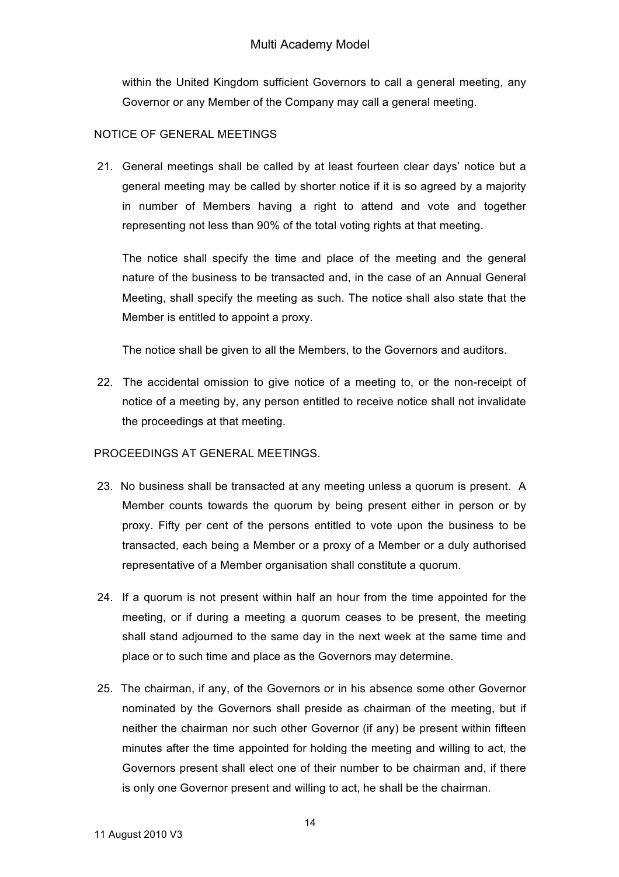within the United Kingdom sufficient Governors to call a general meeting, any Governor or any Member of the Company may call a general meeting.

## NOTICE OF GENERAL MEETINGS

21. General meetings shall be called by at least fourteen clear days' notice but a general meeting may be called by shorter notice if it is so agreed by a majority in number of Members having a right to attend and vote and together representing not less than 90% of the total voting rights at that meeting.

The notice shall specify the time and place of the meeting and the general nature of the business to be transacted and, in the case of an Annual General Meeting, shall specify the meeting as such. The notice shall also state that the Member is entitled to appoint a proxy.

The notice shall be given to all the Members, to the Governors and auditors.

22. The accidental omission to give notice of a meeting to, or the non-receipt of notice of a meeting by, any person entitled to receive notice shall not invalidate the proceedings at that meeting.

## PROCEEDINGS AT GENERAL MEETINGS.

- 23. No business shall be transacted at any meeting unless a quorum is present. A Member counts towards the quorum by being present either in person or by proxy. Fifty per cent of the persons entitled to vote upon the business to be transacted, each being a Member or a proxy of a Member or a duly authorised representative of a Member organisation shall constitute a quorum.
- 24. If a quorum is not present within half an hour from the time appointed for the meeting, or if during a meeting a quorum ceases to be present, the meeting shall stand adjourned to the same day in the next week at the same time and place or to such time and place as the Governors may determine.
- 25. The chairman, if any, of the Governors or in his absence some other Governor nominated by the Governors shall preside as chairman of the meeting, but if neither the chairman nor such other Governor (if any) be present within fifteen minutes after the time appointed for holding the meeting and willing to act, the Governors present shall elect one of their number to be chairman and, if there is only one Governor present and willing to act, he shall be the chairman.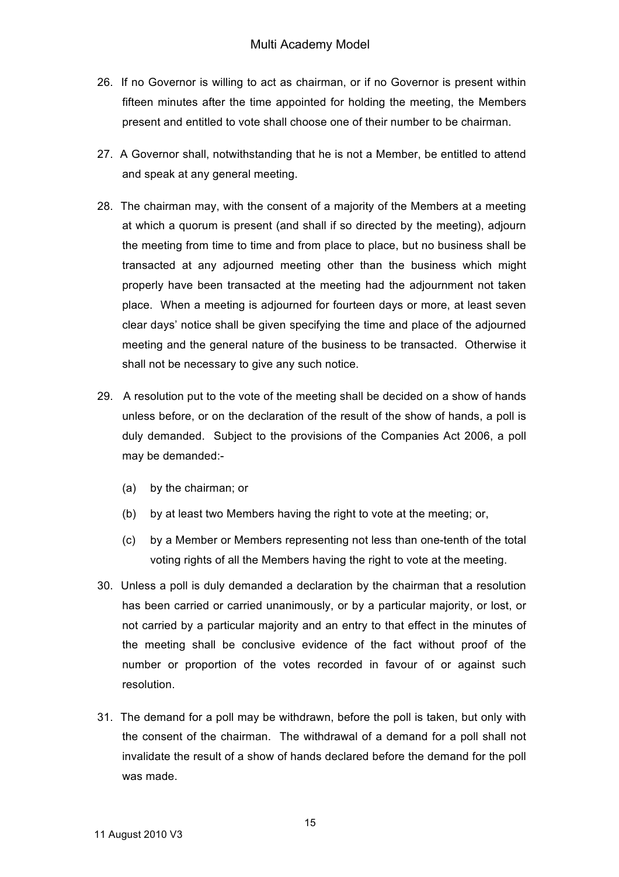- 26. If no Governor is willing to act as chairman, or if no Governor is present within fifteen minutes after the time appointed for holding the meeting, the Members present and entitled to vote shall choose one of their number to be chairman.
- 27. A Governor shall, notwithstanding that he is not a Member, be entitled to attend and speak at any general meeting.
- 28. The chairman may, with the consent of a majority of the Members at a meeting at which a quorum is present (and shall if so directed by the meeting), adjourn the meeting from time to time and from place to place, but no business shall be transacted at any adjourned meeting other than the business which might properly have been transacted at the meeting had the adjournment not taken place. When a meeting is adjourned for fourteen days or more, at least seven clear days' notice shall be given specifying the time and place of the adjourned meeting and the general nature of the business to be transacted. Otherwise it shall not be necessary to give any such notice.
- 29. A resolution put to the vote of the meeting shall be decided on a show of hands unless before, or on the declaration of the result of the show of hands, a poll is duly demanded. Subject to the provisions of the Companies Act 2006, a poll may be demanded:-
	- (a) by the chairman; or
	- (b) by at least two Members having the right to vote at the meeting; or,
	- (c) by a Member or Members representing not less than one-tenth of the total voting rights of all the Members having the right to vote at the meeting.
- 30. Unless a poll is duly demanded a declaration by the chairman that a resolution has been carried or carried unanimously, or by a particular majority, or lost, or not carried by a particular majority and an entry to that effect in the minutes of the meeting shall be conclusive evidence of the fact without proof of the number or proportion of the votes recorded in favour of or against such resolution.
- 31. The demand for a poll may be withdrawn, before the poll is taken, but only with the consent of the chairman. The withdrawal of a demand for a poll shall not invalidate the result of a show of hands declared before the demand for the poll was made.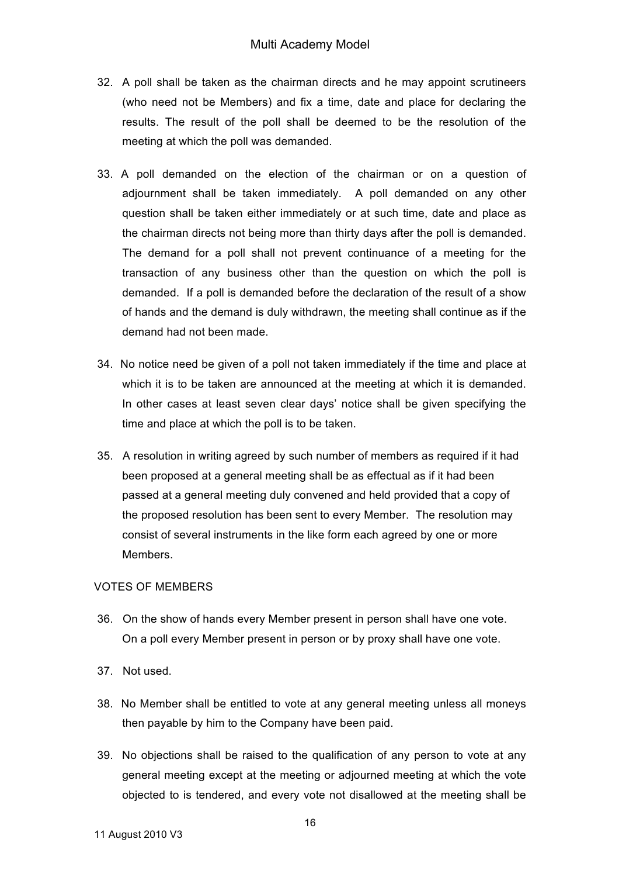- 32. A poll shall be taken as the chairman directs and he may appoint scrutineers (who need not be Members) and fix a time, date and place for declaring the results. The result of the poll shall be deemed to be the resolution of the meeting at which the poll was demanded.
- 33. A poll demanded on the election of the chairman or on a question of adjournment shall be taken immediately. A poll demanded on any other question shall be taken either immediately or at such time, date and place as the chairman directs not being more than thirty days after the poll is demanded. The demand for a poll shall not prevent continuance of a meeting for the transaction of any business other than the question on which the poll is demanded. If a poll is demanded before the declaration of the result of a show of hands and the demand is duly withdrawn, the meeting shall continue as if the demand had not been made.
- 34. No notice need be given of a poll not taken immediately if the time and place at which it is to be taken are announced at the meeting at which it is demanded. In other cases at least seven clear days' notice shall be given specifying the time and place at which the poll is to be taken.
- 35. A resolution in writing agreed by such number of members as required if it had been proposed at a general meeting shall be as effectual as if it had been passed at a general meeting duly convened and held provided that a copy of the proposed resolution has been sent to every Member. The resolution may consist of several instruments in the like form each agreed by one or more Members.

#### VOTES OF MEMBERS

- 36. On the show of hands every Member present in person shall have one vote. On a poll every Member present in person or by proxy shall have one vote.
- 37. Not used.
- 38. No Member shall be entitled to vote at any general meeting unless all moneys then payable by him to the Company have been paid.
- 39. No objections shall be raised to the qualification of any person to vote at any general meeting except at the meeting or adjourned meeting at which the vote objected to is tendered, and every vote not disallowed at the meeting shall be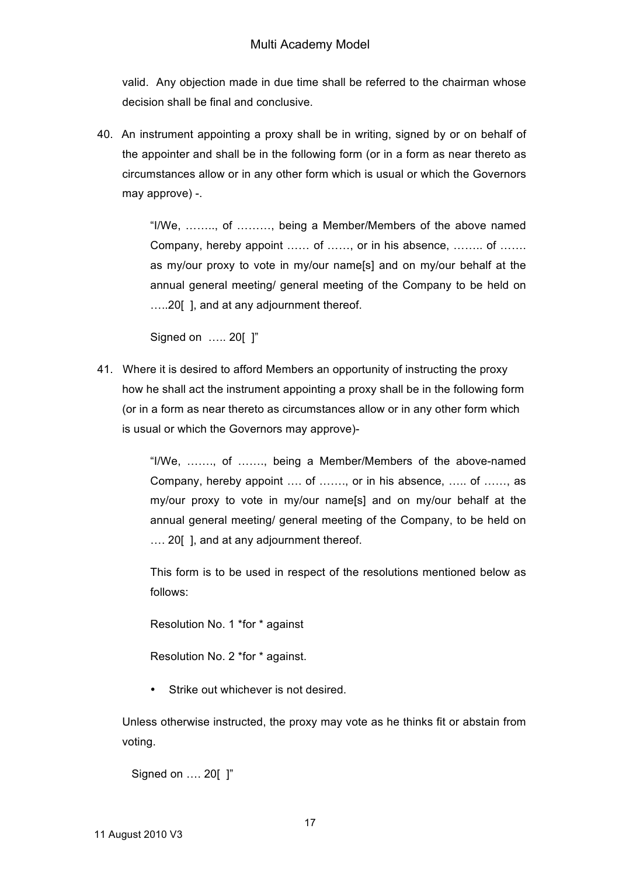valid. Any objection made in due time shall be referred to the chairman whose decision shall be final and conclusive.

40. An instrument appointing a proxy shall be in writing, signed by or on behalf of the appointer and shall be in the following form (or in a form as near thereto as circumstances allow or in any other form which is usual or which the Governors may approve) -.

> "I/We, …….., of ………, being a Member/Members of the above named Company, hereby appoint …… of ……, or in his absence, …….. of ……. as my/our proxy to vote in my/our name[s] and on my/our behalf at the annual general meeting/ general meeting of the Company to be held on …..20[ ], and at any adjournment thereof.

Signed on ….. 20[ ]"

41. Where it is desired to afford Members an opportunity of instructing the proxy how he shall act the instrument appointing a proxy shall be in the following form (or in a form as near thereto as circumstances allow or in any other form which is usual or which the Governors may approve)-

> "I/We, ……., of ……., being a Member/Members of the above-named Company, hereby appoint …. of ……., or in his absence, ….. of ……, as my/our proxy to vote in my/our name[s] and on my/our behalf at the annual general meeting/ general meeting of the Company, to be held on …. 20[ ], and at any adjournment thereof.

> This form is to be used in respect of the resolutions mentioned below as follows:

Resolution No. 1 \*for \* against

Resolution No. 2 \*for \* against.

• Strike out whichever is not desired.

Unless otherwise instructed, the proxy may vote as he thinks fit or abstain from voting.

Signed on …. 20[ ]"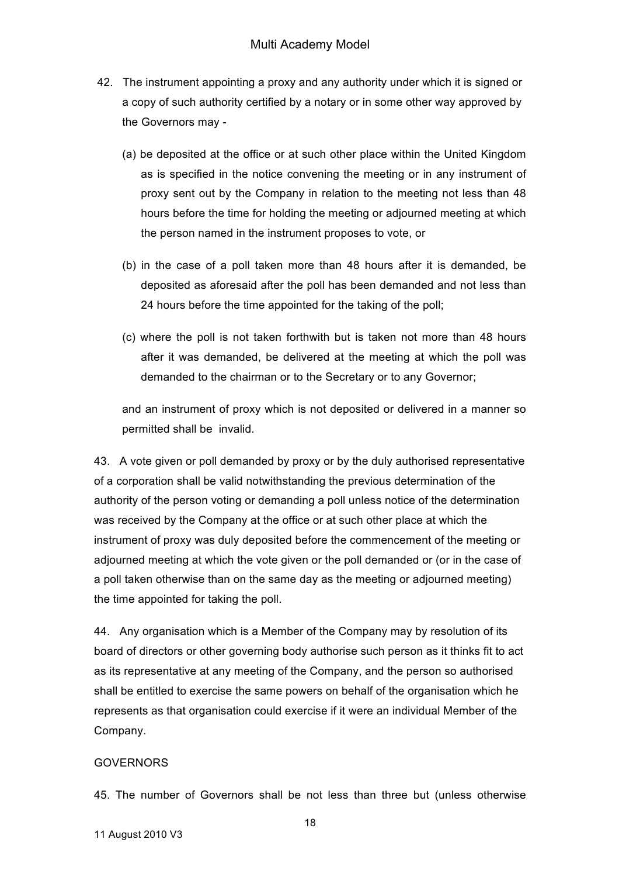- 42. The instrument appointing a proxy and any authority under which it is signed or a copy of such authority certified by a notary or in some other way approved by the Governors may -
	- (a) be deposited at the office or at such other place within the United Kingdom as is specified in the notice convening the meeting or in any instrument of proxy sent out by the Company in relation to the meeting not less than 48 hours before the time for holding the meeting or adjourned meeting at which the person named in the instrument proposes to vote, or
	- (b) in the case of a poll taken more than 48 hours after it is demanded, be deposited as aforesaid after the poll has been demanded and not less than 24 hours before the time appointed for the taking of the poll;
	- (c) where the poll is not taken forthwith but is taken not more than 48 hours after it was demanded, be delivered at the meeting at which the poll was demanded to the chairman or to the Secretary or to any Governor;

and an instrument of proxy which is not deposited or delivered in a manner so permitted shall be invalid.

43. A vote given or poll demanded by proxy or by the duly authorised representative of a corporation shall be valid notwithstanding the previous determination of the authority of the person voting or demanding a poll unless notice of the determination was received by the Company at the office or at such other place at which the instrument of proxy was duly deposited before the commencement of the meeting or adjourned meeting at which the vote given or the poll demanded or (or in the case of a poll taken otherwise than on the same day as the meeting or adjourned meeting) the time appointed for taking the poll.

44. Any organisation which is a Member of the Company may by resolution of its board of directors or other governing body authorise such person as it thinks fit to act as its representative at any meeting of the Company, and the person so authorised shall be entitled to exercise the same powers on behalf of the organisation which he represents as that organisation could exercise if it were an individual Member of the Company.

## **GOVERNORS**

45. The number of Governors shall be not less than three but (unless otherwise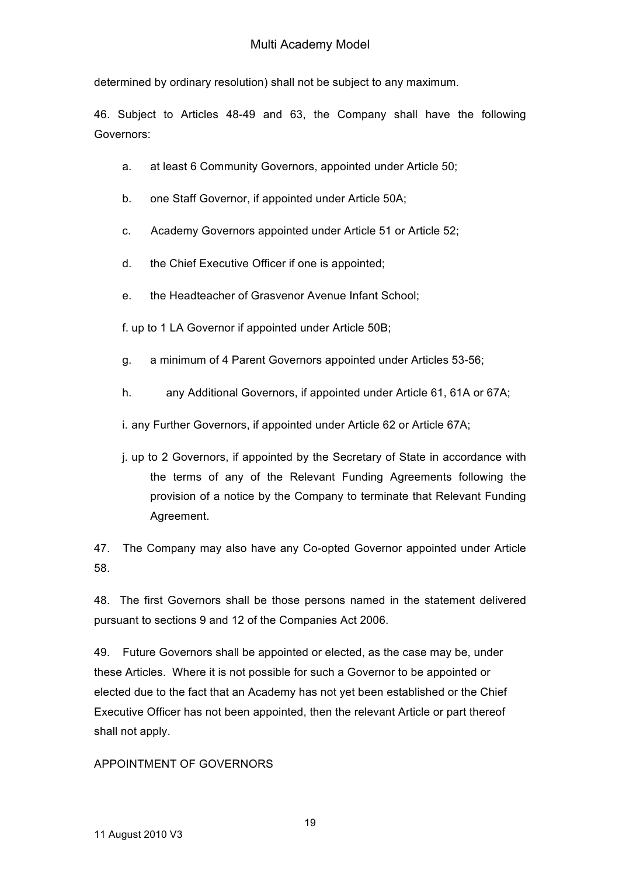determined by ordinary resolution) shall not be subject to any maximum.

46. Subject to Articles 48-49 and 63, the Company shall have the following Governors:

- a. at least 6 Community Governors, appointed under Article 50;
- b. one Staff Governor, if appointed under Article 50A;
- c. Academy Governors appointed under Article 51 or Article 52;
- d. the Chief Executive Officer if one is appointed;
- e. the Headteacher of Grasvenor Avenue Infant School;

f. up to 1 LA Governor if appointed under Article 50B;

- g. a minimum of 4 Parent Governors appointed under Articles 53-56;
- h. any Additional Governors, if appointed under Article 61, 61A or 67A;

i. any Further Governors, if appointed under Article 62 or Article 67A;

j. up to 2 Governors, if appointed by the Secretary of State in accordance with the terms of any of the Relevant Funding Agreements following the provision of a notice by the Company to terminate that Relevant Funding Agreement.

47. The Company may also have any Co-opted Governor appointed under Article 58.

48. The first Governors shall be those persons named in the statement delivered pursuant to sections 9 and 12 of the Companies Act 2006.

49. Future Governors shall be appointed or elected, as the case may be, under these Articles. Where it is not possible for such a Governor to be appointed or elected due to the fact that an Academy has not yet been established or the Chief Executive Officer has not been appointed, then the relevant Article or part thereof shall not apply.

#### APPOINTMENT OF GOVERNORS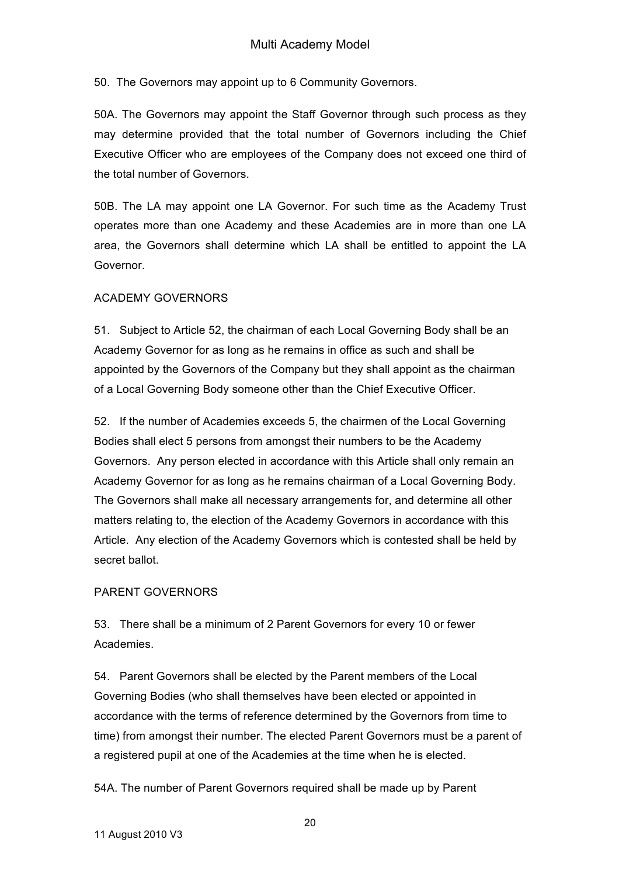50. The Governors may appoint up to 6 Community Governors.

50A. The Governors may appoint the Staff Governor through such process as they may determine provided that the total number of Governors including the Chief Executive Officer who are employees of the Company does not exceed one third of the total number of Governors.

50B. The LA may appoint one LA Governor. For such time as the Academy Trust operates more than one Academy and these Academies are in more than one LA area, the Governors shall determine which LA shall be entitled to appoint the LA Governor.

### ACADEMY GOVERNORS

51. Subject to Article 52, the chairman of each Local Governing Body shall be an Academy Governor for as long as he remains in office as such and shall be appointed by the Governors of the Company but they shall appoint as the chairman of a Local Governing Body someone other than the Chief Executive Officer.

52. If the number of Academies exceeds 5, the chairmen of the Local Governing Bodies shall elect 5 persons from amongst their numbers to be the Academy Governors. Any person elected in accordance with this Article shall only remain an Academy Governor for as long as he remains chairman of a Local Governing Body. The Governors shall make all necessary arrangements for, and determine all other matters relating to, the election of the Academy Governors in accordance with this Article. Any election of the Academy Governors which is contested shall be held by secret ballot.

## PARENT GOVERNORS

53. There shall be a minimum of 2 Parent Governors for every 10 or fewer Academies.

54. Parent Governors shall be elected by the Parent members of the Local Governing Bodies (who shall themselves have been elected or appointed in accordance with the terms of reference determined by the Governors from time to time) from amongst their number. The elected Parent Governors must be a parent of a registered pupil at one of the Academies at the time when he is elected.

54A. The number of Parent Governors required shall be made up by Parent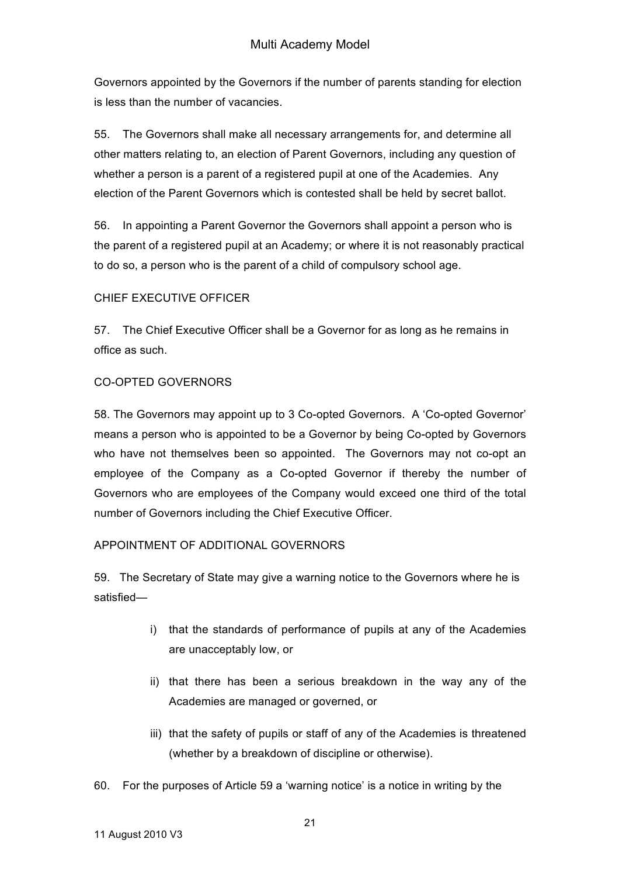Governors appointed by the Governors if the number of parents standing for election is less than the number of vacancies.

55. The Governors shall make all necessary arrangements for, and determine all other matters relating to, an election of Parent Governors, including any question of whether a person is a parent of a registered pupil at one of the Academies. Any election of the Parent Governors which is contested shall be held by secret ballot.

56. In appointing a Parent Governor the Governors shall appoint a person who is the parent of a registered pupil at an Academy; or where it is not reasonably practical to do so, a person who is the parent of a child of compulsory school age.

## CHIEF EXECUTIVE OFFICER

57. The Chief Executive Officer shall be a Governor for as long as he remains in office as such.

## CO-OPTED GOVERNORS

58. The Governors may appoint up to 3 Co-opted Governors. A 'Co-opted Governor' means a person who is appointed to be a Governor by being Co-opted by Governors who have not themselves been so appointed. The Governors may not co-opt an employee of the Company as a Co-opted Governor if thereby the number of Governors who are employees of the Company would exceed one third of the total number of Governors including the Chief Executive Officer.

## APPOINTMENT OF ADDITIONAL GOVERNORS

59. The Secretary of State may give a warning notice to the Governors where he is satisfied—

- i) that the standards of performance of pupils at any of the Academies are unacceptably low, or
- ii) that there has been a serious breakdown in the way any of the Academies are managed or governed, or
- iii) that the safety of pupils or staff of any of the Academies is threatened (whether by a breakdown of discipline or otherwise).
- 60. For the purposes of Article 59 a 'warning notice' is a notice in writing by the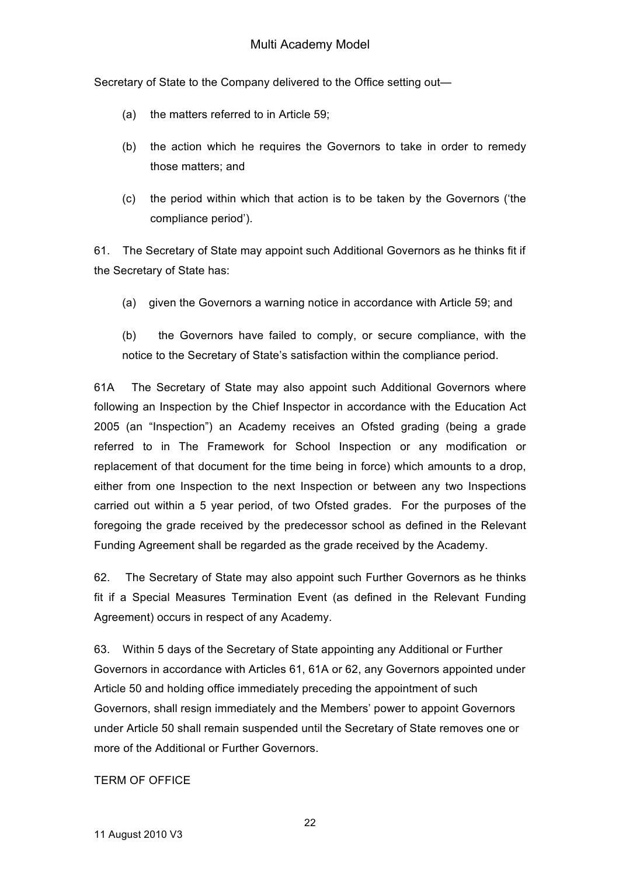Secretary of State to the Company delivered to the Office setting out—

- (a) the matters referred to in Article 59;
- (b) the action which he requires the Governors to take in order to remedy those matters; and
- (c) the period within which that action is to be taken by the Governors ('the compliance period').

61. The Secretary of State may appoint such Additional Governors as he thinks fit if the Secretary of State has:

(a) given the Governors a warning notice in accordance with Article 59; and

(b) the Governors have failed to comply, or secure compliance, with the notice to the Secretary of State's satisfaction within the compliance period.

61A The Secretary of State may also appoint such Additional Governors where following an Inspection by the Chief Inspector in accordance with the Education Act 2005 (an "Inspection") an Academy receives an Ofsted grading (being a grade referred to in The Framework for School Inspection or any modification or replacement of that document for the time being in force) which amounts to a drop, either from one Inspection to the next Inspection or between any two Inspections carried out within a 5 year period, of two Ofsted grades. For the purposes of the foregoing the grade received by the predecessor school as defined in the Relevant Funding Agreement shall be regarded as the grade received by the Academy.

62. The Secretary of State may also appoint such Further Governors as he thinks fit if a Special Measures Termination Event (as defined in the Relevant Funding Agreement) occurs in respect of any Academy.

63. Within 5 days of the Secretary of State appointing any Additional or Further Governors in accordance with Articles 61, 61A or 62, any Governors appointed under Article 50 and holding office immediately preceding the appointment of such Governors, shall resign immediately and the Members' power to appoint Governors under Article 50 shall remain suspended until the Secretary of State removes one or more of the Additional or Further Governors.

## TERM OF OFFICE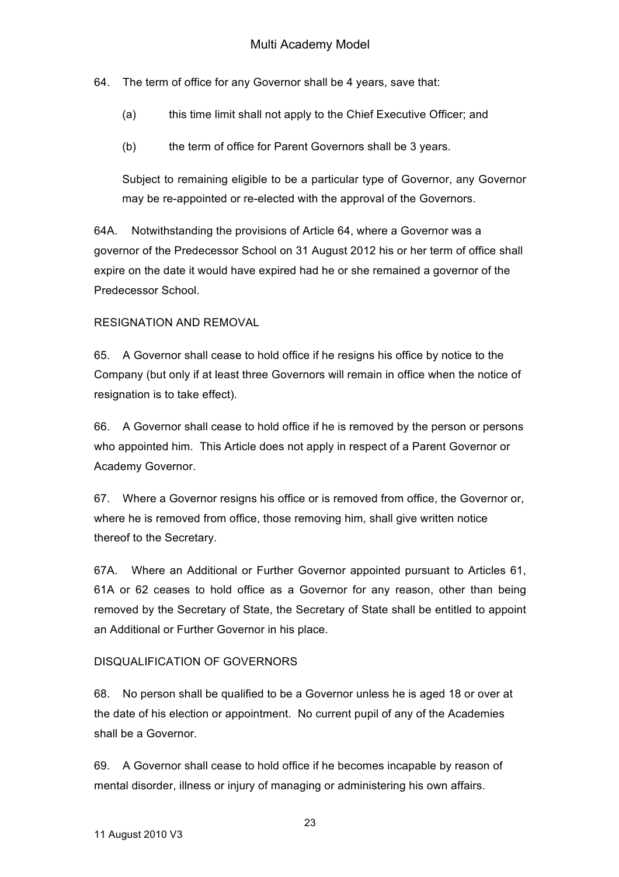64. The term of office for any Governor shall be 4 years, save that:

- (a) this time limit shall not apply to the Chief Executive Officer; and
- (b) the term of office for Parent Governors shall be 3 years.

Subject to remaining eligible to be a particular type of Governor, any Governor may be re-appointed or re-elected with the approval of the Governors.

64A. Notwithstanding the provisions of Article 64, where a Governor was a governor of the Predecessor School on 31 August 2012 his or her term of office shall expire on the date it would have expired had he or she remained a governor of the Predecessor School.

## RESIGNATION AND REMOVAL

65. A Governor shall cease to hold office if he resigns his office by notice to the Company (but only if at least three Governors will remain in office when the notice of resignation is to take effect).

66. A Governor shall cease to hold office if he is removed by the person or persons who appointed him. This Article does not apply in respect of a Parent Governor or Academy Governor.

67. Where a Governor resigns his office or is removed from office, the Governor or, where he is removed from office, those removing him, shall give written notice thereof to the Secretary.

67A. Where an Additional or Further Governor appointed pursuant to Articles 61, 61A or 62 ceases to hold office as a Governor for any reason, other than being removed by the Secretary of State, the Secretary of State shall be entitled to appoint an Additional or Further Governor in his place.

## DISQUALIFICATION OF GOVERNORS

68. No person shall be qualified to be a Governor unless he is aged 18 or over at the date of his election or appointment. No current pupil of any of the Academies shall be a Governor.

69. A Governor shall cease to hold office if he becomes incapable by reason of mental disorder, illness or injury of managing or administering his own affairs.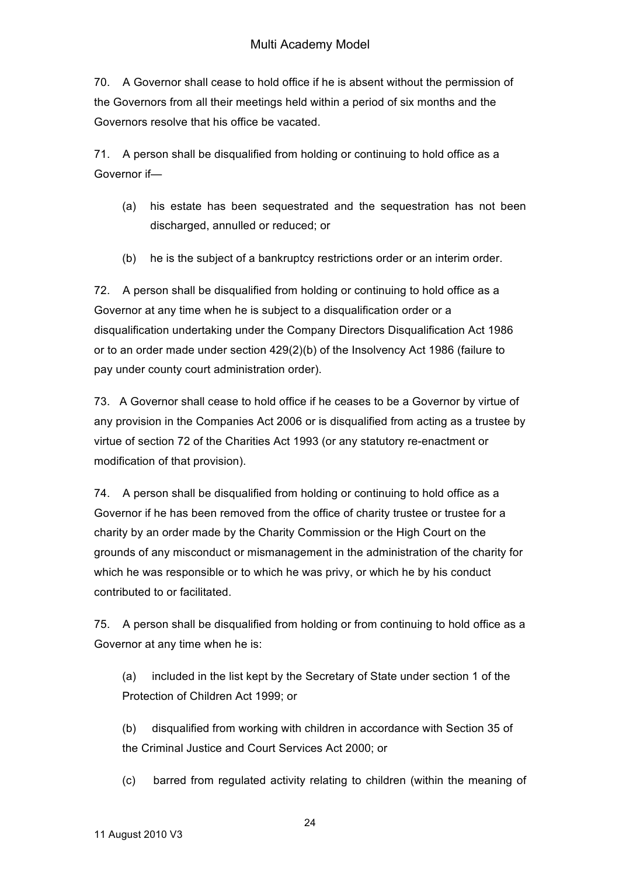70. A Governor shall cease to hold office if he is absent without the permission of the Governors from all their meetings held within a period of six months and the Governors resolve that his office be vacated.

71. A person shall be disqualified from holding or continuing to hold office as a Governor if—

- (a) his estate has been sequestrated and the sequestration has not been discharged, annulled or reduced; or
- (b) he is the subject of a bankruptcy restrictions order or an interim order.

72. A person shall be disqualified from holding or continuing to hold office as a Governor at any time when he is subject to a disqualification order or a disqualification undertaking under the Company Directors Disqualification Act 1986 or to an order made under section 429(2)(b) of the Insolvency Act 1986 (failure to pay under county court administration order).

73. A Governor shall cease to hold office if he ceases to be a Governor by virtue of any provision in the Companies Act 2006 or is disqualified from acting as a trustee by virtue of section 72 of the Charities Act 1993 (or any statutory re-enactment or modification of that provision).

74. A person shall be disqualified from holding or continuing to hold office as a Governor if he has been removed from the office of charity trustee or trustee for a charity by an order made by the Charity Commission or the High Court on the grounds of any misconduct or mismanagement in the administration of the charity for which he was responsible or to which he was privy, or which he by his conduct contributed to or facilitated.

75. A person shall be disqualified from holding or from continuing to hold office as a Governor at any time when he is:

(a) included in the list kept by the Secretary of State under section 1 of the Protection of Children Act 1999; or

(b) disqualified from working with children in accordance with Section 35 of the Criminal Justice and Court Services Act 2000; or

(c) barred from regulated activity relating to children (within the meaning of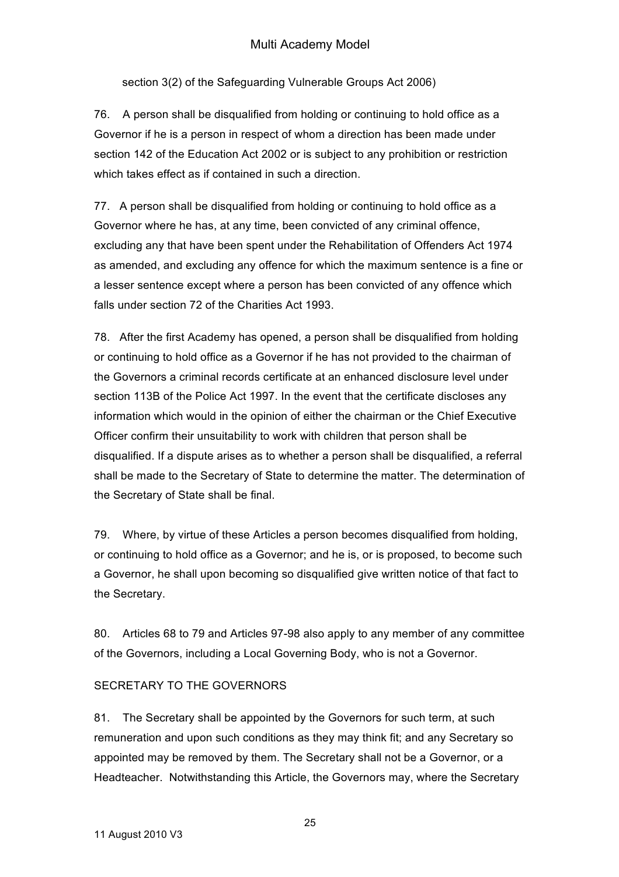# Multi Academy Model

section 3(2) of the Safeguarding Vulnerable Groups Act 2006)

76. A person shall be disqualified from holding or continuing to hold office as a Governor if he is a person in respect of whom a direction has been made under section 142 of the Education Act 2002 or is subject to any prohibition or restriction which takes effect as if contained in such a direction.

77. A person shall be disqualified from holding or continuing to hold office as a Governor where he has, at any time, been convicted of any criminal offence, excluding any that have been spent under the Rehabilitation of Offenders Act 1974 as amended, and excluding any offence for which the maximum sentence is a fine or a lesser sentence except where a person has been convicted of any offence which falls under section 72 of the Charities Act 1993.

78. After the first Academy has opened, a person shall be disqualified from holding or continuing to hold office as a Governor if he has not provided to the chairman of the Governors a criminal records certificate at an enhanced disclosure level under section 113B of the Police Act 1997. In the event that the certificate discloses any information which would in the opinion of either the chairman or the Chief Executive Officer confirm their unsuitability to work with children that person shall be disqualified. If a dispute arises as to whether a person shall be disqualified, a referral shall be made to the Secretary of State to determine the matter. The determination of the Secretary of State shall be final.

79. Where, by virtue of these Articles a person becomes disqualified from holding, or continuing to hold office as a Governor; and he is, or is proposed, to become such a Governor, he shall upon becoming so disqualified give written notice of that fact to the Secretary.

80. Articles 68 to 79 and Articles 97-98 also apply to any member of any committee of the Governors, including a Local Governing Body, who is not a Governor.

#### SECRETARY TO THE GOVERNORS

81. The Secretary shall be appointed by the Governors for such term, at such remuneration and upon such conditions as they may think fit; and any Secretary so appointed may be removed by them. The Secretary shall not be a Governor, or a Headteacher. Notwithstanding this Article, the Governors may, where the Secretary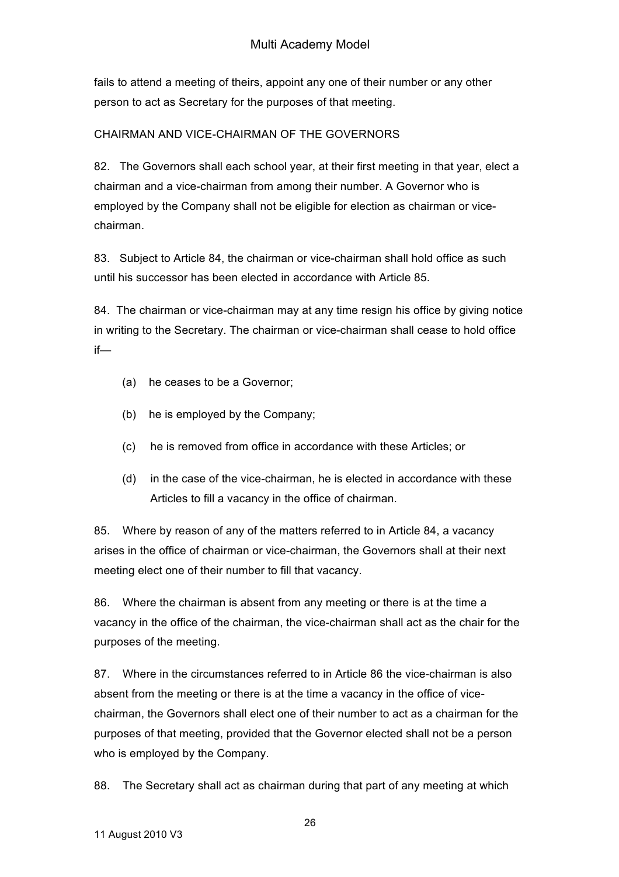fails to attend a meeting of theirs, appoint any one of their number or any other person to act as Secretary for the purposes of that meeting.

# CHAIRMAN AND VICE-CHAIRMAN OF THE GOVERNORS

82. The Governors shall each school year, at their first meeting in that year, elect a chairman and a vice-chairman from among their number. A Governor who is employed by the Company shall not be eligible for election as chairman or vicechairman.

83. Subject to Article 84, the chairman or vice-chairman shall hold office as such until his successor has been elected in accordance with Article 85.

84. The chairman or vice-chairman may at any time resign his office by giving notice in writing to the Secretary. The chairman or vice-chairman shall cease to hold office if—

- (a) he ceases to be a Governor;
- (b) he is employed by the Company;
- (c) he is removed from office in accordance with these Articles; or
- (d) in the case of the vice-chairman, he is elected in accordance with these Articles to fill a vacancy in the office of chairman.

85. Where by reason of any of the matters referred to in Article 84, a vacancy arises in the office of chairman or vice-chairman, the Governors shall at their next meeting elect one of their number to fill that vacancy.

86. Where the chairman is absent from any meeting or there is at the time a vacancy in the office of the chairman, the vice-chairman shall act as the chair for the purposes of the meeting.

87. Where in the circumstances referred to in Article 86 the vice-chairman is also absent from the meeting or there is at the time a vacancy in the office of vicechairman, the Governors shall elect one of their number to act as a chairman for the purposes of that meeting, provided that the Governor elected shall not be a person who is employed by the Company.

88. The Secretary shall act as chairman during that part of any meeting at which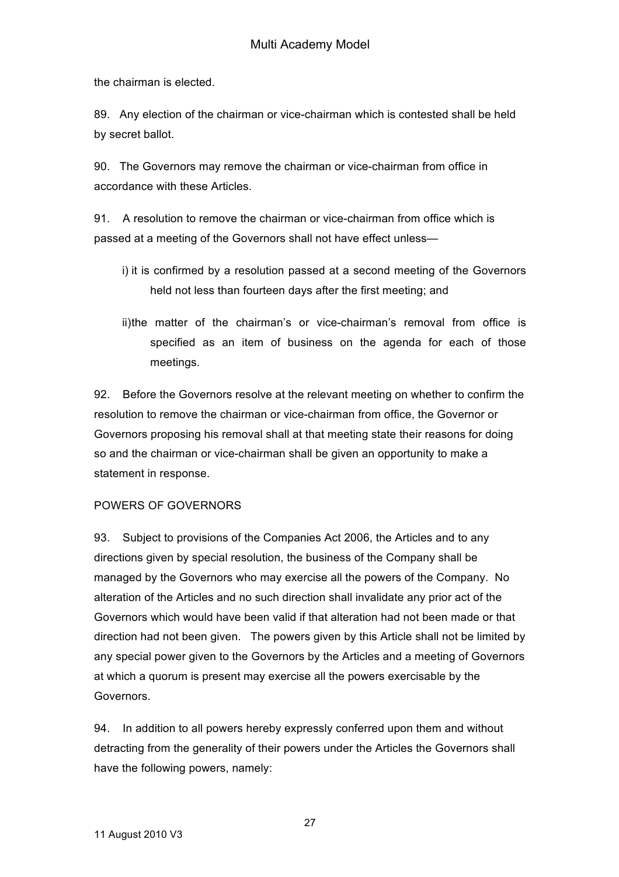the chairman is elected.

89. Any election of the chairman or vice-chairman which is contested shall be held by secret ballot.

90. The Governors may remove the chairman or vice-chairman from office in accordance with these Articles.

91. A resolution to remove the chairman or vice-chairman from office which is passed at a meeting of the Governors shall not have effect unless—

- i) it is confirmed by a resolution passed at a second meeting of the Governors held not less than fourteen days after the first meeting; and
- ii)the matter of the chairman's or vice-chairman's removal from office is specified as an item of business on the agenda for each of those meetings.

92. Before the Governors resolve at the relevant meeting on whether to confirm the resolution to remove the chairman or vice-chairman from office, the Governor or Governors proposing his removal shall at that meeting state their reasons for doing so and the chairman or vice-chairman shall be given an opportunity to make a statement in response.

## POWERS OF GOVERNORS

93. Subject to provisions of the Companies Act 2006, the Articles and to any directions given by special resolution, the business of the Company shall be managed by the Governors who may exercise all the powers of the Company. No alteration of the Articles and no such direction shall invalidate any prior act of the Governors which would have been valid if that alteration had not been made or that direction had not been given. The powers given by this Article shall not be limited by any special power given to the Governors by the Articles and a meeting of Governors at which a quorum is present may exercise all the powers exercisable by the Governors.

94. In addition to all powers hereby expressly conferred upon them and without detracting from the generality of their powers under the Articles the Governors shall have the following powers, namely:

27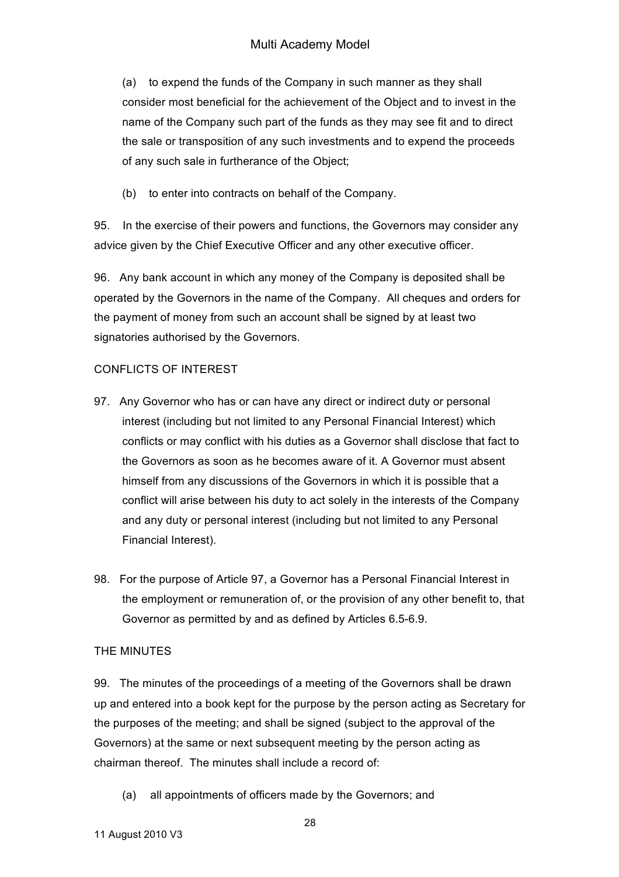(a) to expend the funds of the Company in such manner as they shall consider most beneficial for the achievement of the Object and to invest in the name of the Company such part of the funds as they may see fit and to direct the sale or transposition of any such investments and to expend the proceeds of any such sale in furtherance of the Object;

(b) to enter into contracts on behalf of the Company.

95. In the exercise of their powers and functions, the Governors may consider any advice given by the Chief Executive Officer and any other executive officer.

96. Any bank account in which any money of the Company is deposited shall be operated by the Governors in the name of the Company. All cheques and orders for the payment of money from such an account shall be signed by at least two signatories authorised by the Governors.

# CONFLICTS OF INTEREST

- 97. Any Governor who has or can have any direct or indirect duty or personal interest (including but not limited to any Personal Financial Interest) which conflicts or may conflict with his duties as a Governor shall disclose that fact to the Governors as soon as he becomes aware of it. A Governor must absent himself from any discussions of the Governors in which it is possible that a conflict will arise between his duty to act solely in the interests of the Company and any duty or personal interest (including but not limited to any Personal Financial Interest).
- 98. For the purpose of Article 97, a Governor has a Personal Financial Interest in the employment or remuneration of, or the provision of any other benefit to, that Governor as permitted by and as defined by Articles 6.5-6.9.

## THE MINUTES

99. The minutes of the proceedings of a meeting of the Governors shall be drawn up and entered into a book kept for the purpose by the person acting as Secretary for the purposes of the meeting; and shall be signed (subject to the approval of the Governors) at the same or next subsequent meeting by the person acting as chairman thereof. The minutes shall include a record of:

(a) all appointments of officers made by the Governors; and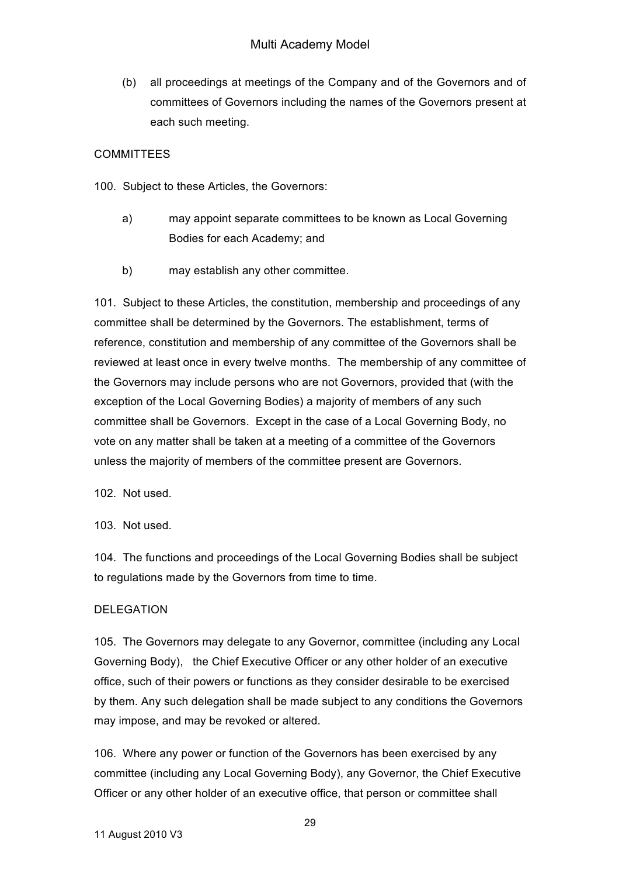(b) all proceedings at meetings of the Company and of the Governors and of committees of Governors including the names of the Governors present at each such meeting.

# **COMMITTEES**

- 100. Subject to these Articles, the Governors:
	- a) may appoint separate committees to be known as Local Governing Bodies for each Academy; and
	- b) may establish any other committee.

101. Subject to these Articles, the constitution, membership and proceedings of any committee shall be determined by the Governors. The establishment, terms of reference, constitution and membership of any committee of the Governors shall be reviewed at least once in every twelve months. The membership of any committee of the Governors may include persons who are not Governors, provided that (with the exception of the Local Governing Bodies) a majority of members of any such committee shall be Governors. Except in the case of a Local Governing Body, no vote on any matter shall be taken at a meeting of a committee of the Governors unless the majority of members of the committee present are Governors.

102. Not used.

103. Not used.

104. The functions and proceedings of the Local Governing Bodies shall be subject to regulations made by the Governors from time to time.

## DELEGATION

105. The Governors may delegate to any Governor, committee (including any Local Governing Body), the Chief Executive Officer or any other holder of an executive office, such of their powers or functions as they consider desirable to be exercised by them. Any such delegation shall be made subject to any conditions the Governors may impose, and may be revoked or altered.

106. Where any power or function of the Governors has been exercised by any committee (including any Local Governing Body), any Governor, the Chief Executive Officer or any other holder of an executive office, that person or committee shall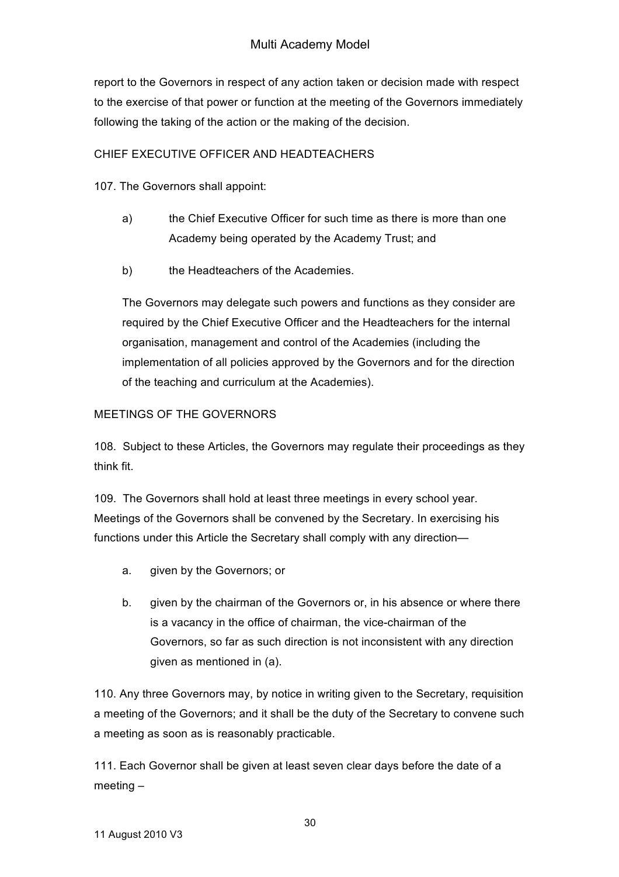report to the Governors in respect of any action taken or decision made with respect to the exercise of that power or function at the meeting of the Governors immediately following the taking of the action or the making of the decision.

## CHIEF EXECUTIVE OFFICER AND HEADTEACHERS

107. The Governors shall appoint:

- a) the Chief Executive Officer for such time as there is more than one Academy being operated by the Academy Trust; and
- b) the Headteachers of the Academies.

The Governors may delegate such powers and functions as they consider are required by the Chief Executive Officer and the Headteachers for the internal organisation, management and control of the Academies (including the implementation of all policies approved by the Governors and for the direction of the teaching and curriculum at the Academies).

# MEETINGS OF THE GOVERNORS

108. Subject to these Articles, the Governors may regulate their proceedings as they think fit.

109. The Governors shall hold at least three meetings in every school year. Meetings of the Governors shall be convened by the Secretary. In exercising his functions under this Article the Secretary shall comply with any direction—

- a. given by the Governors; or
- b. given by the chairman of the Governors or, in his absence or where there is a vacancy in the office of chairman, the vice-chairman of the Governors, so far as such direction is not inconsistent with any direction given as mentioned in (a).

110. Any three Governors may, by notice in writing given to the Secretary, requisition a meeting of the Governors; and it shall be the duty of the Secretary to convene such a meeting as soon as is reasonably practicable.

111. Each Governor shall be given at least seven clear days before the date of a meeting –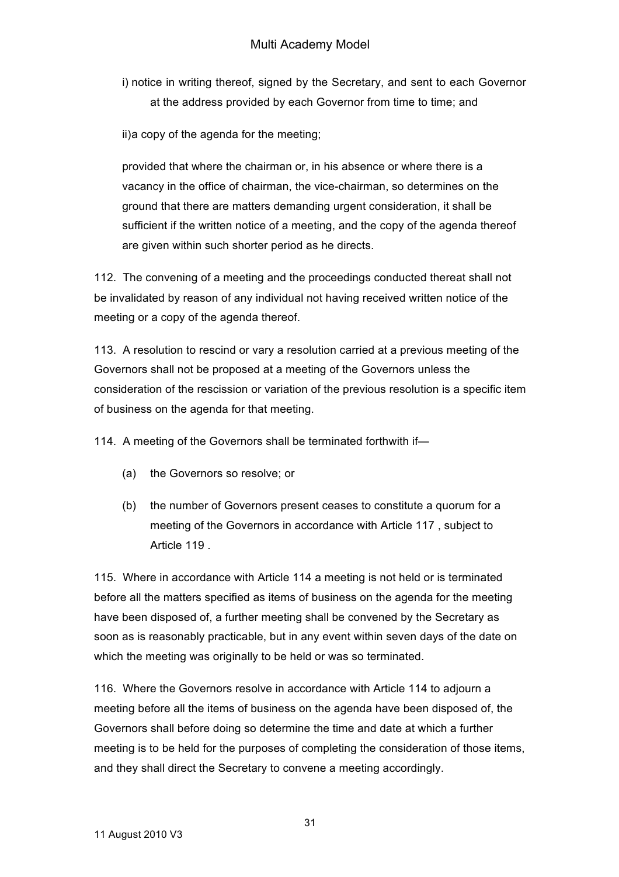i) notice in writing thereof, signed by the Secretary, and sent to each Governor at the address provided by each Governor from time to time; and

ii)a copy of the agenda for the meeting;

provided that where the chairman or, in his absence or where there is a vacancy in the office of chairman, the vice-chairman, so determines on the ground that there are matters demanding urgent consideration, it shall be sufficient if the written notice of a meeting, and the copy of the agenda thereof are given within such shorter period as he directs.

112. The convening of a meeting and the proceedings conducted thereat shall not be invalidated by reason of any individual not having received written notice of the meeting or a copy of the agenda thereof.

113. A resolution to rescind or vary a resolution carried at a previous meeting of the Governors shall not be proposed at a meeting of the Governors unless the consideration of the rescission or variation of the previous resolution is a specific item of business on the agenda for that meeting.

114. A meeting of the Governors shall be terminated forthwith if—

- (a) the Governors so resolve; or
- (b) the number of Governors present ceases to constitute a quorum for a meeting of the Governors in accordance with Article 117 , subject to Article 119 .

115. Where in accordance with Article 114 a meeting is not held or is terminated before all the matters specified as items of business on the agenda for the meeting have been disposed of, a further meeting shall be convened by the Secretary as soon as is reasonably practicable, but in any event within seven days of the date on which the meeting was originally to be held or was so terminated.

116. Where the Governors resolve in accordance with Article 114 to adjourn a meeting before all the items of business on the agenda have been disposed of, the Governors shall before doing so determine the time and date at which a further meeting is to be held for the purposes of completing the consideration of those items, and they shall direct the Secretary to convene a meeting accordingly.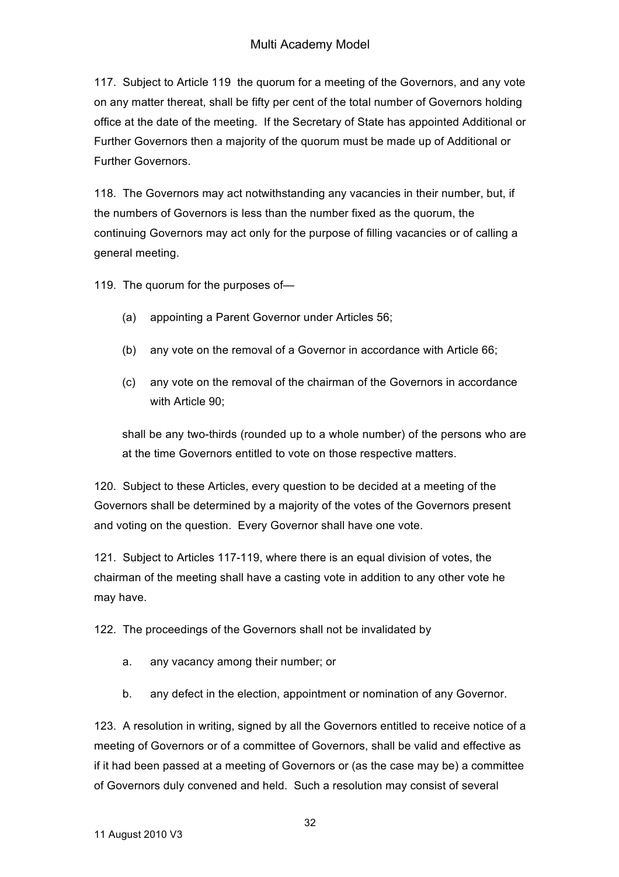# Multi Academy Model

117. Subject to Article 119 the quorum for a meeting of the Governors, and any vote on any matter thereat, shall be fifty per cent of the total number of Governors holding office at the date of the meeting. If the Secretary of State has appointed Additional or Further Governors then a majority of the quorum must be made up of Additional or Further Governors.

118. The Governors may act notwithstanding any vacancies in their number, but, if the numbers of Governors is less than the number fixed as the quorum, the continuing Governors may act only for the purpose of filling vacancies or of calling a general meeting.

119. The quorum for the purposes of—

- (a) appointing a Parent Governor under Articles 56;
- (b) any vote on the removal of a Governor in accordance with Article 66;
- (c) any vote on the removal of the chairman of the Governors in accordance with Article 90;

shall be any two-thirds (rounded up to a whole number) of the persons who are at the time Governors entitled to vote on those respective matters.

120. Subject to these Articles, every question to be decided at a meeting of the Governors shall be determined by a majority of the votes of the Governors present and voting on the question. Every Governor shall have one vote.

121. Subject to Articles 117-119, where there is an equal division of votes, the chairman of the meeting shall have a casting vote in addition to any other vote he may have.

122. The proceedings of the Governors shall not be invalidated by

- a. any vacancy among their number; or
- b. any defect in the election, appointment or nomination of any Governor.

123. A resolution in writing, signed by all the Governors entitled to receive notice of a meeting of Governors or of a committee of Governors, shall be valid and effective as if it had been passed at a meeting of Governors or (as the case may be) a committee of Governors duly convened and held. Such a resolution may consist of several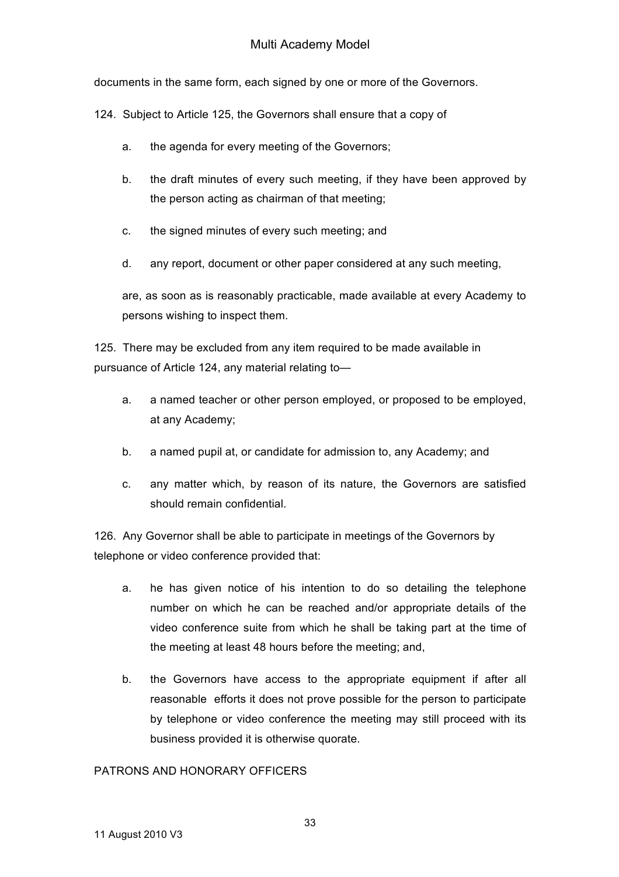documents in the same form, each signed by one or more of the Governors.

124. Subject to Article 125, the Governors shall ensure that a copy of

- a. the agenda for every meeting of the Governors;
- b. the draft minutes of every such meeting, if they have been approved by the person acting as chairman of that meeting;
- c. the signed minutes of every such meeting; and
- d. any report, document or other paper considered at any such meeting,

are, as soon as is reasonably practicable, made available at every Academy to persons wishing to inspect them.

125. There may be excluded from any item required to be made available in pursuance of Article 124, any material relating to—

- a. a named teacher or other person employed, or proposed to be employed, at any Academy;
- b. a named pupil at, or candidate for admission to, any Academy; and
- c. any matter which, by reason of its nature, the Governors are satisfied should remain confidential.

126. Any Governor shall be able to participate in meetings of the Governors by telephone or video conference provided that:

- a. he has given notice of his intention to do so detailing the telephone number on which he can be reached and/or appropriate details of the video conference suite from which he shall be taking part at the time of the meeting at least 48 hours before the meeting; and,
- b. the Governors have access to the appropriate equipment if after all reasonable efforts it does not prove possible for the person to participate by telephone or video conference the meeting may still proceed with its business provided it is otherwise quorate.

## PATRONS AND HONORARY OFFICERS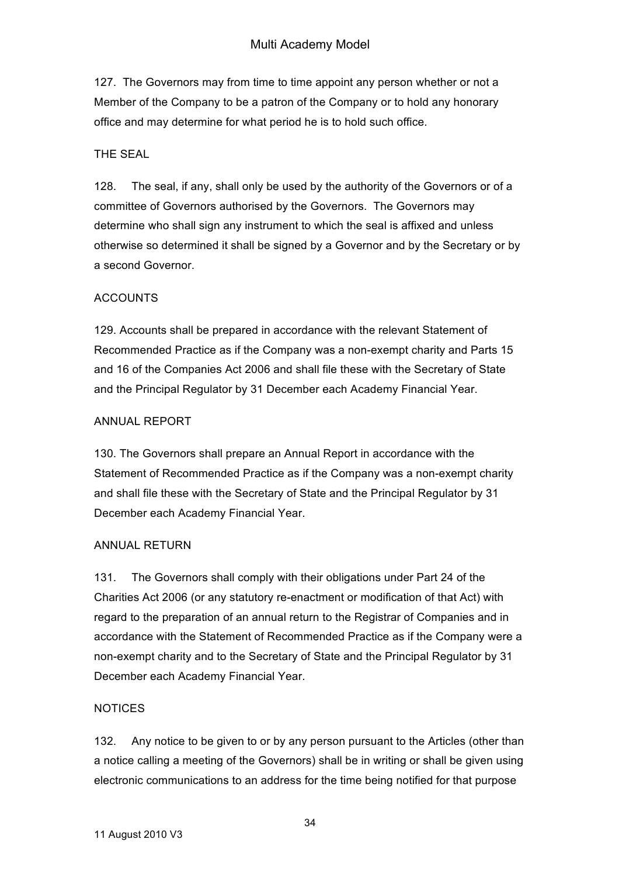127. The Governors may from time to time appoint any person whether or not a Member of the Company to be a patron of the Company or to hold any honorary office and may determine for what period he is to hold such office.

## THE SEAL

128. The seal, if any, shall only be used by the authority of the Governors or of a committee of Governors authorised by the Governors. The Governors may determine who shall sign any instrument to which the seal is affixed and unless otherwise so determined it shall be signed by a Governor and by the Secretary or by a second Governor.

## ACCOUNTS

129. Accounts shall be prepared in accordance with the relevant Statement of Recommended Practice as if the Company was a non-exempt charity and Parts 15 and 16 of the Companies Act 2006 and shall file these with the Secretary of State and the Principal Regulator by 31 December each Academy Financial Year.

### ANNUAL REPORT

130. The Governors shall prepare an Annual Report in accordance with the Statement of Recommended Practice as if the Company was a non-exempt charity and shall file these with the Secretary of State and the Principal Regulator by 31 December each Academy Financial Year.

## ANNUAL RETURN

131. The Governors shall comply with their obligations under Part 24 of the Charities Act 2006 (or any statutory re-enactment or modification of that Act) with regard to the preparation of an annual return to the Registrar of Companies and in accordance with the Statement of Recommended Practice as if the Company were a non-exempt charity and to the Secretary of State and the Principal Regulator by 31 December each Academy Financial Year.

## **NOTICES**

132. Any notice to be given to or by any person pursuant to the Articles (other than a notice calling a meeting of the Governors) shall be in writing or shall be given using electronic communications to an address for the time being notified for that purpose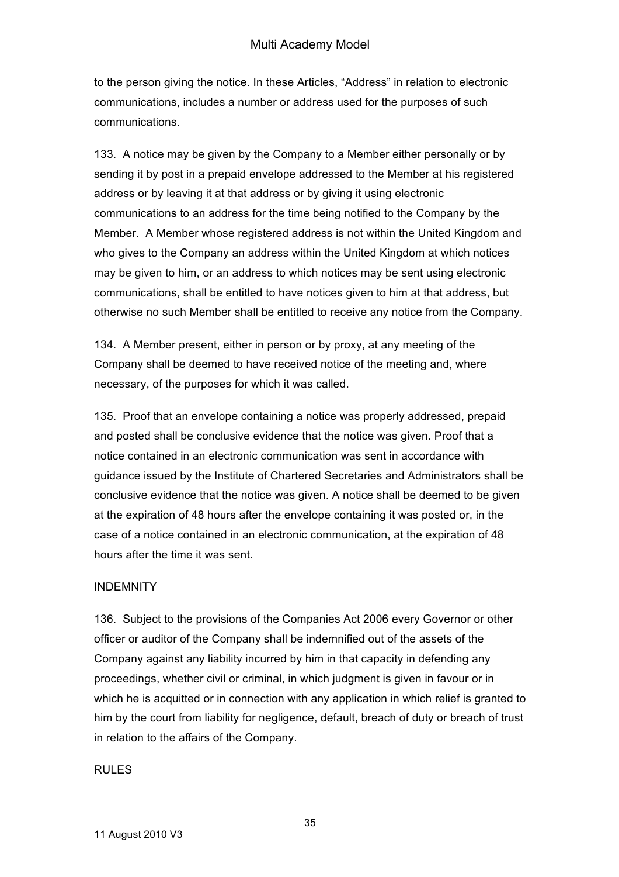to the person giving the notice. In these Articles, "Address" in relation to electronic communications, includes a number or address used for the purposes of such communications.

133. A notice may be given by the Company to a Member either personally or by sending it by post in a prepaid envelope addressed to the Member at his registered address or by leaving it at that address or by giving it using electronic communications to an address for the time being notified to the Company by the Member. A Member whose registered address is not within the United Kingdom and who gives to the Company an address within the United Kingdom at which notices may be given to him, or an address to which notices may be sent using electronic communications, shall be entitled to have notices given to him at that address, but otherwise no such Member shall be entitled to receive any notice from the Company.

134. A Member present, either in person or by proxy, at any meeting of the Company shall be deemed to have received notice of the meeting and, where necessary, of the purposes for which it was called.

135. Proof that an envelope containing a notice was properly addressed, prepaid and posted shall be conclusive evidence that the notice was given. Proof that a notice contained in an electronic communication was sent in accordance with guidance issued by the Institute of Chartered Secretaries and Administrators shall be conclusive evidence that the notice was given. A notice shall be deemed to be given at the expiration of 48 hours after the envelope containing it was posted or, in the case of a notice contained in an electronic communication, at the expiration of 48 hours after the time it was sent.

#### INDEMNITY

136. Subject to the provisions of the Companies Act 2006 every Governor or other officer or auditor of the Company shall be indemnified out of the assets of the Company against any liability incurred by him in that capacity in defending any proceedings, whether civil or criminal, in which judgment is given in favour or in which he is acquitted or in connection with any application in which relief is granted to him by the court from liability for negligence, default, breach of duty or breach of trust in relation to the affairs of the Company.

## RULES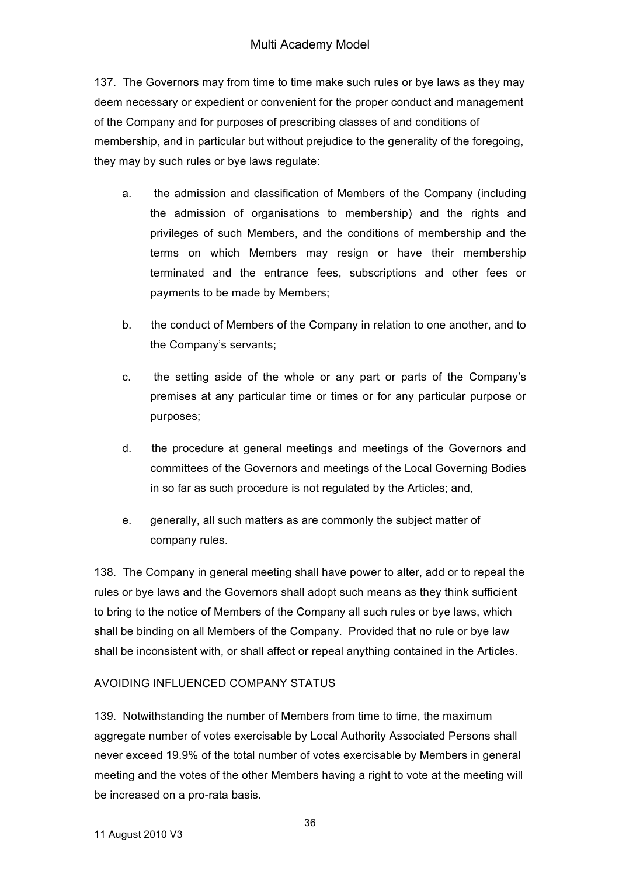137. The Governors may from time to time make such rules or bye laws as they may deem necessary or expedient or convenient for the proper conduct and management of the Company and for purposes of prescribing classes of and conditions of membership, and in particular but without prejudice to the generality of the foregoing, they may by such rules or bye laws regulate:

- a. the admission and classification of Members of the Company (including the admission of organisations to membership) and the rights and privileges of such Members, and the conditions of membership and the terms on which Members may resign or have their membership terminated and the entrance fees, subscriptions and other fees or payments to be made by Members;
- b. the conduct of Members of the Company in relation to one another, and to the Company's servants;
- c. the setting aside of the whole or any part or parts of the Company's premises at any particular time or times or for any particular purpose or purposes;
- d. the procedure at general meetings and meetings of the Governors and committees of the Governors and meetings of the Local Governing Bodies in so far as such procedure is not regulated by the Articles; and,
- e. generally, all such matters as are commonly the subject matter of company rules.

138. The Company in general meeting shall have power to alter, add or to repeal the rules or bye laws and the Governors shall adopt such means as they think sufficient to bring to the notice of Members of the Company all such rules or bye laws, which shall be binding on all Members of the Company. Provided that no rule or bye law shall be inconsistent with, or shall affect or repeal anything contained in the Articles.

# AVOIDING INFLUENCED COMPANY STATUS

139. Notwithstanding the number of Members from time to time, the maximum aggregate number of votes exercisable by Local Authority Associated Persons shall never exceed 19.9% of the total number of votes exercisable by Members in general meeting and the votes of the other Members having a right to vote at the meeting will be increased on a pro-rata basis.